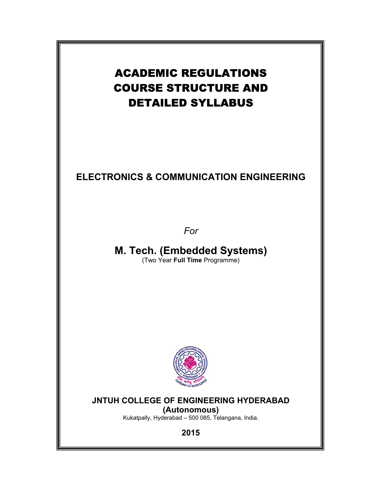# ACADEMIC REGULATIONS COURSE STRUCTURE AND DETAILED SYLLABUS

# **ELECTRONICS & COMMUNICATION ENGINEERING**

*For* 

**M. Tech. (Embedded Systems)**  (Two Year **Full Time** Programme)



# **JNTUH COLLEGE OF ENGINEERING HYDERABAD**

**(Autonomous)** Kukatpally, Hyderabad – 500 085, Telangana, India.

**2015**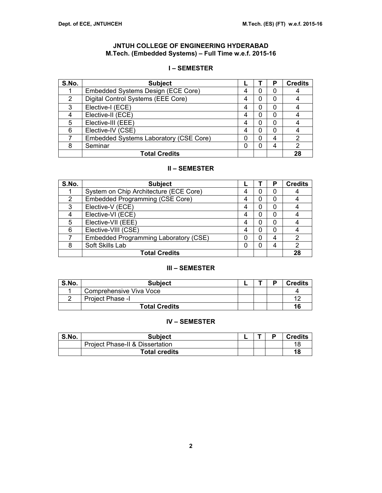# **JNTUH COLLEGE OF ENGINEERING HYDERABAD M.Tech. (Embedded Systems) – Full Time w.e.f. 2015-16**

# **I – SEMESTER**

| S.No. | <b>Subject</b>                         |  | Р | <b>Credits</b> |
|-------|----------------------------------------|--|---|----------------|
|       | Embedded Systems Design (ECE Core)     |  |   |                |
| 2     | Digital Control Systems (EEE Core)     |  | O |                |
| 3     | Elective-I (ECE)                       |  | 0 |                |
|       | Elective-II (ECE)                      |  | 0 |                |
| 5     | Elective-III (EEE)                     |  | ი |                |
| 6     | Elective-IV (CSE)                      |  | ი |                |
|       | Embedded Systems Laboratory (CSE Core) |  | 4 | 2              |
| 8     | Seminar                                |  | 4 | $\overline{2}$ |
|       | <b>Total Credits</b>                   |  |   | 28             |

# **II – SEMESTER**

| S.No. | <b>Subject</b>                         |   | Р | <b>Credits</b> |
|-------|----------------------------------------|---|---|----------------|
|       | System on Chip Architecture (ECE Core) |   |   |                |
| 2     | Embedded Programming (CSE Core)        |   | 0 |                |
| 3     | Elective-V (ECE)                       | 0 | 0 |                |
|       | Elective-VI (ECE)                      |   | 0 |                |
| 5     | Elective-VII (EEE)                     | 0 | 0 |                |
| 6     | Elective-VIII (CSE)                    | 0 | 0 |                |
|       | Embedded Programming Laboratory (CSE)  | 0 | 4 | 2              |
| 8     | Soft Skills Lab                        |   | 4 | 2              |
|       | <b>Total Credits</b>                   |   |   | 28             |

# **III – SEMESTER**

| S.No. | <b>Subject</b>          |  | ם | <b>Credits</b> |
|-------|-------------------------|--|---|----------------|
|       | Comprehensive Viva Voce |  |   |                |
|       | Project Phase -I        |  |   | 12             |
|       | <b>Total Credits</b>    |  |   | 16             |

# **IV – SEMESTER**

| S.No. | <b>Subject</b>                             |  | <b>Credits</b> |
|-------|--------------------------------------------|--|----------------|
|       | <b>Project Phase-II &amp; Dissertation</b> |  | 18             |
|       | <b>Total credits</b>                       |  | 18             |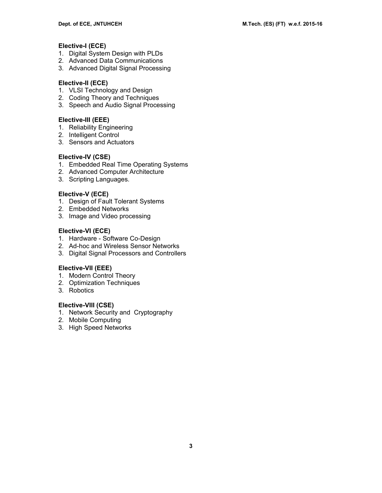# **Elective-I (ECE)**

- 1. Digital System Design with PLDs
- 2. Advanced Data Communications
- 3. Advanced Digital Signal Processing

### **Elective-II (ECE)**

- 1. VLSI Technology and Design
- 2. Coding Theory and Techniques
- 3. Speech and Audio Signal Processing

### **Elective-III (EEE)**

- 1. Reliability Engineering
- 2. Intelligent Control
- 3. Sensors and Actuators

### **Elective-IV (CSE)**

- 1. Embedded Real Time Operating Systems
- 2. Advanced Computer Architecture
- 3. Scripting Languages.

### **Elective-V (ECE)**

- 1. Design of Fault Tolerant Systems
- 2. Embedded Networks
- 3. Image and Video processing

### **Elective-VI (ECE)**

- 1. Hardware Software Co-Design
- 2. Ad-hoc and Wireless Sensor Networks
- 3. Digital Signal Processors and Controllers

#### **Elective-VII (EEE)**

- 1. Modern Control Theory
- 2. Optimization Techniques
- 3. Robotics

### **Elective-VIII (CSE)**

- 1. Network Security and Cryptography
- 2. Mobile Computing
- 3. High Speed Networks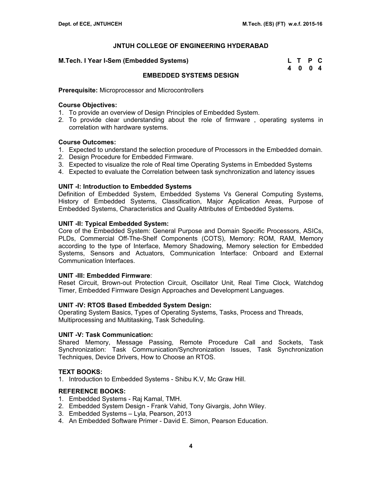| M.Tech. I Year I-Sem (Embedded Systems) | L T P C |  |
|-----------------------------------------|---------|--|
|                                         | 4 0 0 4 |  |

### **EMBEDDED SYSTEMS DESIGN**

**Prerequisite:** Microprocessor and Microcontrollers

#### **Course Objectives:**

- 1. To provide an overview of Design Principles of Embedded System.
- 2. To provide clear understanding about the role of firmware , operating systems in correlation with hardware systems.

### **Course Outcomes:**

- 1. Expected to understand the selection procedure of Processors in the Embedded domain.
- 2. Design Procedure for Embedded Firmware.
- 3. Expected to visualize the role of Real time Operating Systems in Embedded Systems
- 4. Expected to evaluate the Correlation between task synchronization and latency issues

### **UNIT -I: Introduction to Embedded Systems**

Definition of Embedded System, Embedded Systems Vs General Computing Systems, History of Embedded Systems, Classification, Major Application Areas, Purpose of Embedded Systems, Characteristics and Quality Attributes of Embedded Systems.

### **UNIT -II: Typical Embedded System:**

Core of the Embedded System: General Purpose and Domain Specific Processors, ASICs, PLDs, Commercial Off-The-Shelf Components (COTS), Memory: ROM, RAM, Memory according to the type of Interface, Memory Shadowing, Memory selection for Embedded Systems, Sensors and Actuators, Communication Interface: Onboard and External Communication Interfaces.

### **UNIT -III: Embedded Firmware**:

Reset Circuit, Brown-out Protection Circuit, Oscillator Unit, Real Time Clock, Watchdog Timer, Embedded Firmware Design Approaches and Development Languages.

### **UNIT -IV: RTOS Based Embedded System Design:**

Operating System Basics, Types of Operating Systems, Tasks, Process and Threads, Multiprocessing and Multitasking, Task Scheduling.

### **UNIT -V: Task Communication:**

Shared Memory, Message Passing, Remote Procedure Call and Sockets, Task Synchronization: Task Communication/Synchronization Issues, Task Synchronization Techniques, Device Drivers, How to Choose an RTOS.

### **TEXT BOOKS:**

1. Introduction to Embedded Systems - Shibu K.V, Mc Graw Hill.

- 1. Embedded Systems Raj Kamal, TMH.
- 2. Embedded System Design Frank Vahid, Tony Givargis, John Wiley.
- 3. Embedded Systems Lyla, Pearson, 2013
- 4. An Embedded Software Primer David E. Simon, Pearson Education.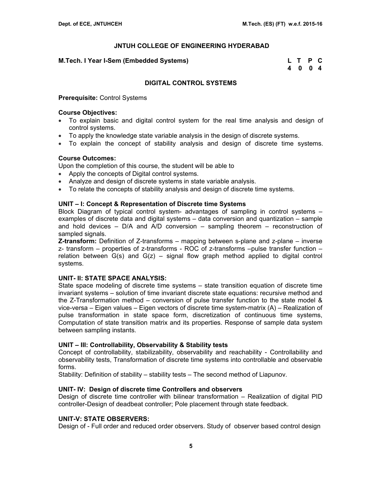### **M.Tech. I Year I-Sem (Embedded Systems)**

| M.Tech. I Year I-Sem (Embedded Systems) | L T P C |  |
|-----------------------------------------|---------|--|
|                                         | 4004    |  |

### **DIGITAL CONTROL SYSTEMS**

**Prerequisite:** Control Systems

### **Course Objectives:**

- To explain basic and digital control system for the real time analysis and design of control systems.
- To apply the knowledge state variable analysis in the design of discrete systems.
- To explain the concept of stability analysis and design of discrete time systems.

### **Course Outcomes:**

Upon the completion of this course, the student will be able to

- Apply the concepts of Digital control systems.
- Analyze and design of discrete systems in state variable analysis.
- To relate the concepts of stability analysis and design of discrete time systems.

### **UNIT – I: Concept & Representation of Discrete time Systems**

Block Diagram of typical control system- advantages of sampling in control systems – examples of discrete data and digital systems – data conversion and quantization – sample and hold devices – D/A and A/D conversion – sampling theorem – reconstruction of sampled signals.

**Z-transform:** Definition of Z-transforms – mapping between s-plane and z-plane – inverse z- transform – properties of z-transforms - ROC of z-transforms –pulse transfer function – relation between  $G(s)$  and  $G(z)$  – signal flow graph method applied to digital control systems.

### **UNIT- II: STATE SPACE ANALYSIS:**

State space modeling of discrete time systems – state transition equation of discrete time invariant systems – solution of time invariant discrete state equations: recursive method and the Z-Transformation method – conversion of pulse transfer function to the state model & vice-versa – Eigen values – Eigen vectors of discrete time system-matrix (A) – Realization of pulse transformation in state space form, discretization of continuous time systems, Computation of state transition matrix and its properties. Response of sample data system between sampling instants.

#### **UNIT – III: Controllability, Observability & Stability tests**

Concept of controllability, stabilizability, observability and reachability - Controllability and observability tests, Transformation of discrete time systems into controllable and observable forms.

Stability: Definition of stability – stability tests – The second method of Liapunov.

#### **UNIT- IV: Design of discrete time Controllers and observers**

Design of discrete time controller with bilinear transformation – Realizatiion of digital PID controller-Design of deadbeat controller; Pole placement through state feedback.

### **UNIT-V: STATE OBSERVERS:**

Design of - Full order and reduced order observers. Study of observer based control design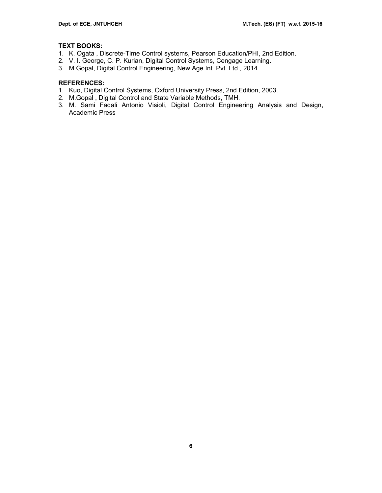# **TEXT BOOKS:**

- 1. K. Ogata , Discrete-Time Control systems, Pearson Education/PHI, 2nd Edition.
- 2. V. I. George, C. P. Kurian, Digital Control Systems, Cengage Learning.
- 3. M.Gopal, Digital Control Engineering, New Age Int. Pvt. Ltd., 2014

# **REFERENCES:**

- 1. Kuo, Digital Control Systems, Oxford University Press, 2nd Edition, 2003.
- 2. M.Gopal , Digital Control and State Variable Methods, TMH.
- 3. M. Sami Fadali Antonio Visioli, Digital Control Engineering Analysis and Design, Academic Press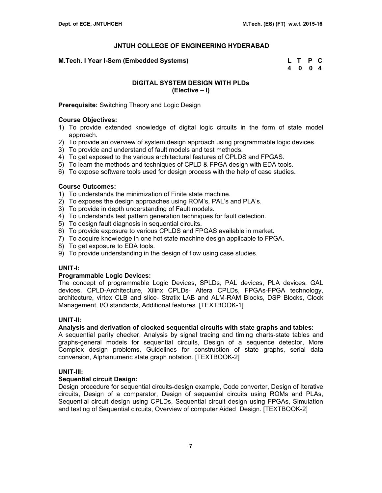### **M.Tech. I Year I-Sem (Embedded Systems)**

| M.Tech. I Year I-Sem (Embedded Systems) | L T P C |  |
|-----------------------------------------|---------|--|
|                                         | 4004    |  |

# **DIGITAL SYSTEM DESIGN WITH PLDs (Elective – I)**

### **Prerequisite:** Switching Theory and Logic Design

### **Course Objectives:**

- 1) To provide extended knowledge of digital logic circuits in the form of state model approach.
- 2) To provide an overview of system design approach using programmable logic devices.
- 3) To provide and understand of fault models and test methods.
- 4) To get exposed to the various architectural features of CPLDS and FPGAS.
- 5) To learn the methods and techniques of CPLD & FPGA design with EDA tools.
- 6) To expose software tools used for design process with the help of case studies.

### **Course Outcomes:**

- 1) To understands the minimization of Finite state machine.
- 2) To exposes the design approaches using ROM's, PAL's and PLA's.
- 3) To provide in depth understanding of Fault models.
- 4) To understands test pattern generation techniques for fault detection.
- 5) To design fault diagnosis in sequential circuits.
- 6) To provide exposure to various CPLDS and FPGAS available in market.
- 7) To acquire knowledge in one hot state machine design applicable to FPGA.
- 8) To get exposure to EDA tools.
- 9) To provide understanding in the design of flow using case studies.

### **UNIT-I:**

### **Programmable Logic Devices:**

The concept of programmable Logic Devices, SPLDs, PAL devices, PLA devices, GAL devices, CPLD-Architecture, Xilinx CPLDs- Altera CPLDs, FPGAs-FPGA technology, architecture, virtex CLB and slice- Stratix LAB and ALM-RAM Blocks, DSP Blocks, Clock Management, I/O standards, Additional features. [TEXTBOOK-1]

# **UNIT-II:**

### **Analysis and derivation of clocked sequential circuits with state graphs and tables:**

A sequential parity checker, Analysis by signal tracing and timing charts-state tables and graphs-general models for sequential circuits, Design of a sequence detector, More Complex design problems, Guidelines for construction of state graphs, serial data conversion, Alphanumeric state graph notation. [TEXTBOOK-2]

# **UNIT-III:**

### **Sequential circuit Design:**

Design procedure for sequential circuits-design example, Code converter, Design of Iterative circuits, Design of a comparator, Design of sequential circuits using ROMs and PLAs, Sequential circuit design using CPLDs, Sequential circuit design using FPGAs, Simulation and testing of Sequential circuits, Overview of computer Aided Design. [TEXTBOOK-2]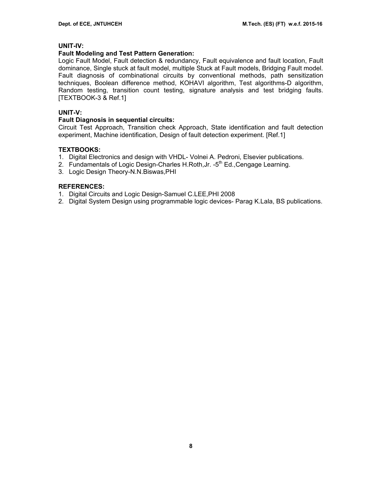# **UNIT-IV:**

### **Fault Modeling and Test Pattern Generation:**

Logic Fault Model, Fault detection & redundancy, Fault equivalence and fault location, Fault dominance, Single stuck at fault model, multiple Stuck at Fault models, Bridging Fault model. Fault diagnosis of combinational circuits by conventional methods, path sensitization techniques, Boolean difference method, KOHAVI algorithm, Test algorithms-D algorithm, Random testing, transition count testing, signature analysis and test bridging faults. [TEXTBOOK-3 & Ref.1]

# **UNIT-V:**

### **Fault Diagnosis in sequential circuits:**

Circuit Test Approach, Transition check Approach, State identification and fault detection experiment, Machine identification, Design of fault detection experiment. [Ref.1]

### **TEXTBOOKS:**

- 1. Digital Electronics and design with VHDL- Volnei A. Pedroni, Elsevier publications.
- 2. Fundamentals of Logic Design-Charles H.Roth, Jr. -5<sup>th</sup> Ed., Cengage Learning.
- 3. Logic Design Theory-N.N.Biswas,PHI

### **REFERENCES:**

- 1. Digital Circuits and Logic Design-Samuel C.LEE,PHI 2008
- 2. Digital System Design using programmable logic devices- Parag K.Lala, BS publications.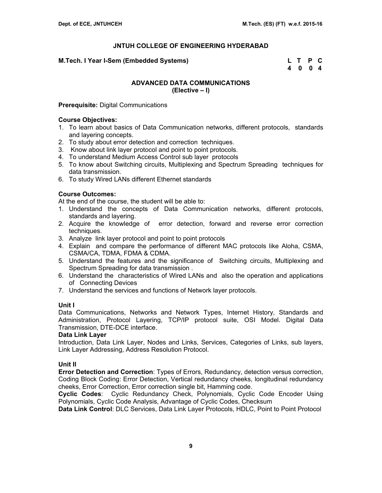### **M.Tech. I Year I-Sem (Embedded Systems) L T P C**

 **4 0 0 4** 

# **ADVANCED DATA COMMUNICATIONS (Elective – I)**

### **Prerequisite:** Digital Communications

### **Course Objectives:**

- 1. To learn about basics of Data Communication networks, different protocols, standards and layering concepts.
- 2. To study about error detection and correction techniques.
- 3. Know about link layer protocol and point to point protocols.
- 4. To understand Medium Access Control sub layer protocols
- 5. To know about Switching circuits, Multiplexing and Spectrum Spreading techniques for data transmission.
- 6. To study Wired LANs different Ethernet standards

# **Course Outcomes:**

At the end of the course, the student will be able to:

- 1. Understand the concepts of Data Communication networks, different protocols, standards and layering.
- 2. Acquire the knowledge of error detection, forward and reverse error correction techniques.
- 3. Analyze link layer protocol and point to point protocols
- 4. Explain and compare the performance of different MAC protocols like Aloha, CSMA, CSMA/CA, TDMA, FDMA & CDMA.
- 5. Understand the features and the significance of Switching circuits, Multiplexing and Spectrum Spreading for data transmission .
- 6. Understand the characteristics of Wired LANs and also the operation and applications of Connecting Devices
- 7. Understand the services and functions of Network layer protocols.

### **Unit I**

Data Communications, Networks and Network Types, Internet History, Standards and Administration, Protocol Layering, TCP/IP protocol suite, OSI Model. Digital Data Transmission, DTE-DCE interface.

### **Data Link Layer**

Introduction, Data Link Layer, Nodes and Links, Services, Categories of Links, sub layers, Link Layer Addressing, Address Resolution Protocol.

### **Unit II**

**Error Detection and Correction**: Types of Errors, Redundancy, detection versus correction, Coding Block Coding: Error Detection, Vertical redundancy cheeks, longitudinal redundancy cheeks, Error Correction, Error correction single bit, Hamming code.

**Cyclic Codes**: Cyclic Redundancy Check, Polynomials, Cyclic Code Encoder Using Polynomials, Cyclic Code Analysis, Advantage of Cyclic Codes, Checksum

**Data Link Control**: DLC Services, Data Link Layer Protocols, HDLC, Point to Point Protocol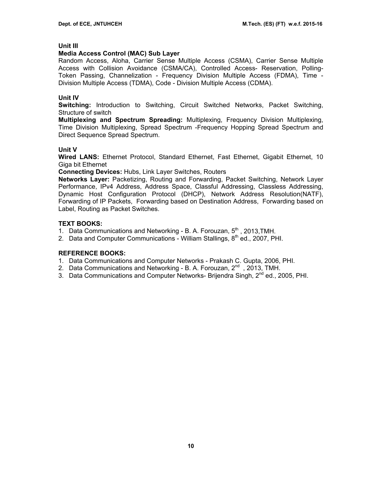### **Unit III**

### **Media Access Control (MAC) Sub Layer**

Random Access, Aloha, Carrier Sense Multiple Access (CSMA), Carrier Sense Multiple Access with Collision Avoidance (CSMA/CA), Controlled Access- Reservation, Polling-Token Passing, Channelization - Frequency Division Multiple Access (FDMA), Time - Division Multiple Access (TDMA), Code - Division Multiple Access (CDMA).

# **Unit IV**

**Switching:** Introduction to Switching, Circuit Switched Networks, Packet Switching, Structure of switch

**Multiplexing and Spectrum Spreading:** Multiplexing, Frequency Division Multiplexing, Time Division Multiplexing, Spread Spectrum -Frequency Hopping Spread Spectrum and Direct Sequence Spread Spectrum.

# **Unit V**

**Wired LANS:** Ethernet Protocol, Standard Ethernet, Fast Ethernet, Gigabit Ethernet, 10 Giga bit Ethernet

**Connecting Devices:** Hubs, Link Layer Switches, Routers

**Networks Layer:** Packetizing, Routing and Forwarding, Packet Switching, Network Layer Performance, IPv4 Address, Address Space, Classful Addressing, Classless Addressing, Dynamic Host Configuration Protocol (DHCP), Network Address Resolution(NATF), Forwarding of IP Packets, Forwarding based on Destination Address, Forwarding based on Label, Routing as Packet Switches.

# **TEXT BOOKS:**

- 1. Data Communications and Networking B. A. Forouzan, 5<sup>th</sup>, 2013, TMH.
- 2. Data and Computer Communications William Stallings,  $8<sup>th</sup>$  ed., 2007, PHI.

- 1. Data Communications and Computer Networks Prakash C. Gupta, 2006, PHI.
- 2. Data Communications and Networking B. A. Forouzan, 2<sup>nd</sup>, 2013, TMH.
- 3. Data Communications and Computer Networks- Brijendra Singh, 2<sup>nd</sup> ed., 2005, PHI.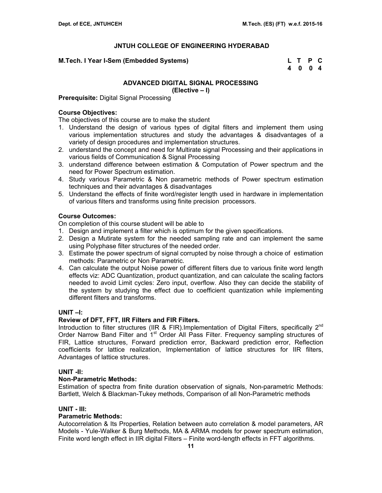### **M.Tech. I Year I-Sem (Embedded Systems)**

| M.Tech. I Year I-Sem (Embedded Systems) | L T P C |  |
|-----------------------------------------|---------|--|
|                                         | 4 0 0 4 |  |

# **ADVANCED DIGITAL SIGNAL PROCESSING**

**(Elective – I)** 

**Prerequisite:** Digital Signal Processing

# **Course Objectives:**

The objectives of this course are to make the student

- 1. Understand the design of various types of digital filters and implement them using various implementation structures and study the advantages & disadvantages of a variety of design procedures and implementation structures.
- 2. understand the concept and need for Multirate signal Processing and their applications in various fields of Communication & Signal Processing
- 3. understand difference between estimation & Computation of Power spectrum and the need for Power Spectrum estimation.
- 4. Study various Parametric & Non parametric methods of Power spectrum estimation techniques and their advantages & disadvantages
- 5. Understand the effects of finite word/register length used in hardware in implementation of various filters and transforms using finite precision processors.

# **Course Outcomes:**

On completion of this course student will be able to

- 1. Design and implement a filter which is optimum for the given specifications.
- 2. Design a Mutirate system for the needed sampling rate and can implement the same using Polyphase filter structures of the needed order.
- 3. Estimate the power spectrum of signal corrupted by noise through a choice of estimation methods: Parametric or Non Parametric.
- 4. Can calculate the output Noise power of different filters due to various finite word length effects viz: ADC Quantization, product quantization, and can calculate the scaling factors needed to avoid Limit cycles: Zero input, overflow. Also they can decide the stability of the system by studying the effect due to coefficient quantization while implementing different filters and transforms.

### **UNIT –I:**

### **Review of DFT, FFT, IIR Filters and FIR Filters.**

Introduction to filter structures (IIR & FIR).Implementation of Digital Filters, specifically  $2<sup>nd</sup>$ Order Narrow Band Filter and 1<sup>st</sup> Order All Pass Filter. Frequency sampling structures of FIR, Lattice structures, Forward prediction error, Backward prediction error, Reflection coefficients for lattice realization, Implementation of lattice structures for IIR filters, Advantages of lattice structures.

### **UNIT -II:**

### **Non-Parametric Methods:**

Estimation of spectra from finite duration observation of signals, Non-parametric Methods: Bartlett, Welch & Blackman-Tukey methods, Comparison of all Non-Parametric methods

### **UNIT - III:**

### **Parametric Methods:**

Autocorrelation & Its Properties, Relation between auto correlation & model parameters, AR Models - Yule-Walker & Burg Methods, MA & ARMA models for power spectrum estimation, Finite word length effect in IIR digital Filters – Finite word-length effects in FFT algorithms.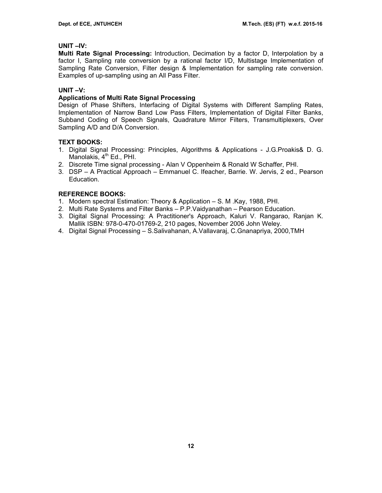# **UNIT –IV:**

**Multi Rate Signal Processing:** Introduction, Decimation by a factor D, Interpolation by a factor I, Sampling rate conversion by a rational factor I/D, Multistage Implementation of Sampling Rate Conversion, Filter design & Implementation for sampling rate conversion. Examples of up-sampling using an All Pass Filter.

# **UNIT –V:**

### **Applications of Multi Rate Signal Processing**

Design of Phase Shifters, Interfacing of Digital Systems with Different Sampling Rates, Implementation of Narrow Band Low Pass Filters, Implementation of Digital Filter Banks, Subband Coding of Speech Signals, Quadrature Mirror Filters, Transmultiplexers, Over Sampling A/D and D/A Conversion.

# **TEXT BOOKS:**

- 1. Digital Signal Processing: Principles, Algorithms & Applications J.G.Proakis& D. G. Manolakis, 4<sup>th</sup> Ed., PHI.
- 2. Discrete Time signal processing Alan V Oppenheim & Ronald W Schaffer, PHI.
- 3. DSP A Practical Approach Emmanuel C. Ifeacher, Barrie. W. Jervis, 2 ed., Pearson Education.

- 1. Modern spectral Estimation: Theory & Application S. M .Kay, 1988, PHI.
- 2. Multi Rate Systems and Filter Banks P.P.Vaidyanathan Pearson Education.
- 3. Digital Signal Processing: A Practitioner's Approach, Kaluri V. Rangarao, Ranjan K. Mallik ISBN: 978-0-470-01769-2, 210 pages, November 2006 John Weley.
- 4. Digital Signal Processing S.Salivahanan, A.Vallavaraj, C.Gnanapriya, 2000,TMH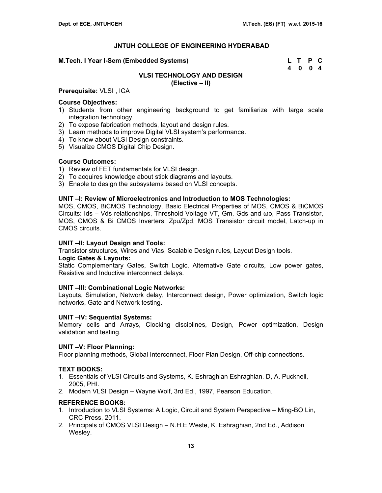#### **M.Tech. I Year I-Sem (Embedded Systems) L T P C**

 **4 0 0 4** 

### **VLSI TECHNOLOGY AND DESIGN (Elective – II)**

### **Prerequisite:** VLSI , ICA

### **Course Objectives:**

- 1) Students from other engineering background to get familiarize with large scale integration technology.
- 2) To expose fabrication methods, layout and design rules.
- 3) Learn methods to improve Digital VLSI system's performance.
- 4) To know about VLSI Design constraints.
- 5) Visualize CMOS Digital Chip Design.

### **Course Outcomes:**

- 1) Review of FET fundamentals for VLSI design.
- 2) To acquires knowledge about stick diagrams and layouts.
- 3) Enable to design the subsystems based on VLSI concepts.

### **UNIT –I: Review of Microelectronics and Introduction to MOS Technologies:**

MOS, CMOS, BiCMOS Technology. Basic Electrical Properties of MOS, CMOS & BiCMOS Circuits: Ids – Vds relationships, Threshold Voltage VT, Gm, Gds and ωo, Pass Transistor, MOS, CMOS & Bi CMOS Inverters, Zpu/Zpd, MOS Transistor circuit model, Latch-up in CMOS circuits.

#### **UNIT –II: Layout Design and Tools:**

Transistor structures, Wires and Vias, Scalable Design rules, Layout Design tools.

### **Logic Gates & Layouts:**

Static Complementary Gates, Switch Logic, Alternative Gate circuits, Low power gates, Resistive and Inductive interconnect delays.

#### **UNIT –III: Combinational Logic Networks:**

Layouts, Simulation, Network delay, Interconnect design, Power optimization, Switch logic networks, Gate and Network testing.

### **UNIT –IV: Sequential Systems:**

Memory cells and Arrays, Clocking disciplines, Design, Power optimization, Design validation and testing.

#### **UNIT –V: Floor Planning:**

Floor planning methods, Global Interconnect, Floor Plan Design, Off-chip connections.

### **TEXT BOOKS:**

- 1. Essentials of VLSI Circuits and Systems, K. Eshraghian Eshraghian. D, A. Pucknell, 2005, PHI.
- 2. Modern VLSI Design Wayne Wolf, 3rd Ed., 1997, Pearson Education.

- 1. Introduction to VLSI Systems: A Logic, Circuit and System Perspective Ming-BO Lin, CRC Press, 2011.
- 2. Principals of CMOS VLSI Design N.H.E Weste, K. Eshraghian, 2nd Ed., Addison Wesley.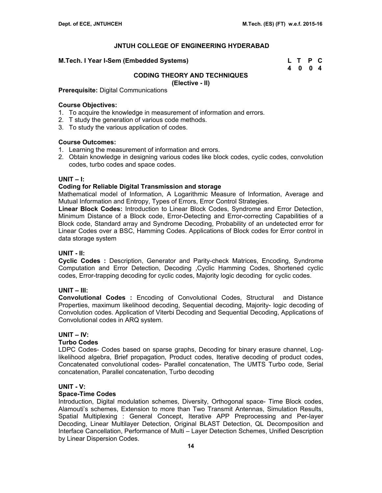### **M.Tech. I Year I-Sem (Embedded Systems) L T P C**

 **4 0 0 4** 

#### **CODING THEORY AND TECHNIQUES (Elective - II)**

**Prerequisite: Digital Communications** 

### **Course Objectives:**

- 1. To acquire the knowledge in measurement of information and errors.
- 2. T study the generation of various code methods.
- 3. To study the various application of codes.

### **Course Outcomes:**

- 1. Learning the measurement of information and errors.
- 2. Obtain knowledge in designing various codes like block codes, cyclic codes, convolution codes, turbo codes and space codes.

### **UNIT – I:**

### **Coding for Reliable Digital Transmission and storage**

Mathematical model of Information, A Logarithmic Measure of Information, Average and Mutual Information and Entropy, Types of Errors, Error Control Strategies.

**Linear Block Codes:** Introduction to Linear Block Codes, Syndrome and Error Detection, Minimum Distance of a Block code, Error-Detecting and Error-correcting Capabilities of a Block code, Standard array and Syndrome Decoding, Probability of an undetected error for Linear Codes over a BSC, Hamming Codes. Applications of Block codes for Error control in data storage system

### **UNIT - II:**

**Cyclic Codes :** Description, Generator and Parity-check Matrices, Encoding, Syndrome Computation and Error Detection, Decoding ,Cyclic Hamming Codes, Shortened cyclic codes, Error-trapping decoding for cyclic codes, Majority logic decoding for cyclic codes.

### **UNIT – III:**

**Convolutional Codes :** Encoding of Convolutional Codes, Structural and Distance Properties, maximum likelihood decoding, Sequential decoding, Majority- logic decoding of Convolution codes. Application of Viterbi Decoding and Sequential Decoding, Applications of Convolutional codes in ARQ system.

### **UNIT – IV:**

### **Turbo Codes**

LDPC Codes- Codes based on sparse graphs, Decoding for binary erasure channel, Loglikelihood algebra, Brief propagation, Product codes, Iterative decoding of product codes, Concatenated convolutional codes- Parallel concatenation, The UMTS Turbo code, Serial concatenation, Parallel concatenation, Turbo decoding

# **UNIT - V:**

### **Space-Time Codes**

Introduction, Digital modulation schemes, Diversity, Orthogonal space- Time Block codes, Alamouti's schemes, Extension to more than Two Transmit Antennas, Simulation Results, Spatial Multiplexing : General Concept, Iterative APP Preprocessing and Per-layer Decoding, Linear Multilayer Detection, Original BLAST Detection, QL Decomposition and Interface Cancellation, Performance of Multi – Layer Detection Schemes, Unified Description by Linear Dispersion Codes.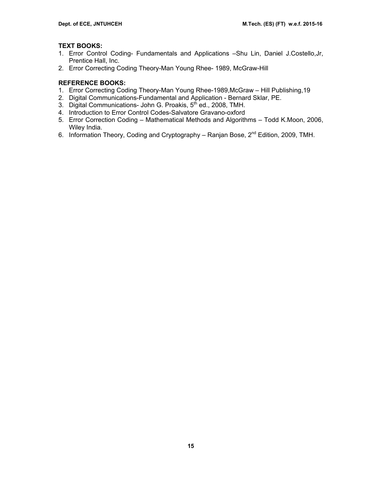# **TEXT BOOKS:**

- 1. Error Control Coding- Fundamentals and Applications –Shu Lin, Daniel J.Costello,Jr, Prentice Hall, Inc.
- 2. Error Correcting Coding Theory-Man Young Rhee- 1989, McGraw-Hill

- 1. Error Correcting Coding Theory-Man Young Rhee-1989,McGraw Hill Publishing,19
- 2. Digital Communications-Fundamental and Application Bernard Sklar, PE.
- 3. Digital Communications- John G. Proakis, 5<sup>th</sup> ed., 2008, TMH.
- 4. Introduction to Error Control Codes-Salvatore Gravano-oxford
- 5. Error Correction Coding Mathematical Methods and Algorithms Todd K.Moon, 2006, Wiley India.
- 6. Information Theory, Coding and Cryptography Ranjan Bose, 2<sup>nd</sup> Edition, 2009, TMH.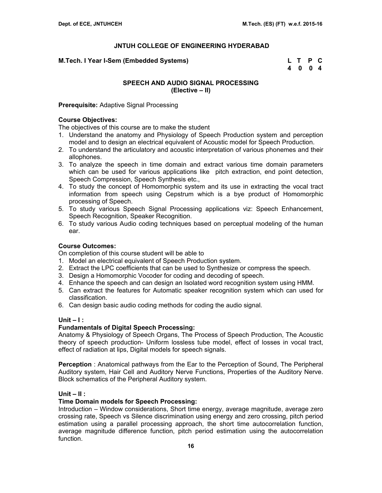### **M.Tech. I Year I-Sem (Embedded Systems) L T P C**

 **4 0 0 4** 

# **SPEECH AND AUDIO SIGNAL PROCESSING (Elective – II)**

### **Prerequisite:** Adaptive Signal Processing

### **Course Objectives:**

The objectives of this course are to make the student

- 1. Understand the anatomy and Physiology of Speech Production system and perception model and to design an electrical equivalent of Acoustic model for Speech Production.
- 2. To understand the articulatory and acoustic interpretation of various phonemes and their allophones.
- 3. To analyze the speech in time domain and extract various time domain parameters which can be used for various applications like pitch extraction, end point detection, Speech Compression, Speech Synthesis etc.,
- 4. To study the concept of Homomorphic system and its use in extracting the vocal tract information from speech using Cepstrum which is a bye product of Homomorphic processing of Speech.
- 5. To study various Speech Signal Processing applications viz: Speech Enhancement, Speech Recognition, Speaker Recognition.
- 6. To study various Audio coding techniques based on perceptual modeling of the human ear.

# **Course Outcomes:**

On completion of this course student will be able to

- 1. Model an electrical equivalent of Speech Production system.
- 2. Extract the LPC coefficients that can be used to Synthesize or compress the speech.
- 3. Design a Homomorphic Vocoder for coding and decoding of speech.
- 4. Enhance the speech and can design an Isolated word recognition system using HMM.
- 5. Can extract the features for Automatic speaker recognition system which can used for classification.
- 6. Can design basic audio coding methods for coding the audio signal.

### **Unit – I :**

### **Fundamentals of Digital Speech Processing:**

Anatomy & Physiology of Speech Organs, The Process of Speech Production, The Acoustic theory of speech production- Uniform lossless tube model, effect of losses in vocal tract, effect of radiation at lips, Digital models for speech signals.

**Perception** : Anatomical pathways from the Ear to the Perception of Sound, The Peripheral Auditory system, Hair Cell and Auditory Nerve Functions, Properties of the Auditory Nerve. Block schematics of the Peripheral Auditory system.

### **Unit – II :**

### **Time Domain models for Speech Processing:**

Introduction – Window considerations, Short time energy, average magnitude, average zero crossing rate, Speech vs Silence discrimination using energy and zero crossing, pitch period estimation using a parallel processing approach, the short time autocorrelation function, average magnitude difference function, pitch period estimation using the autocorrelation function.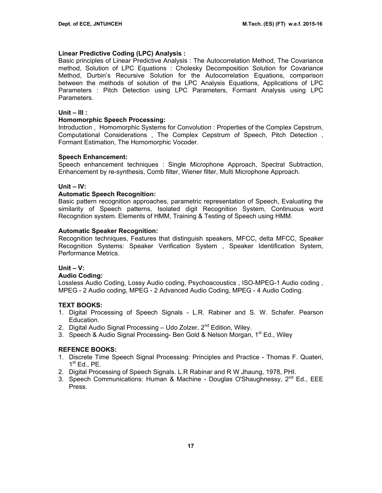### **Linear Predictive Coding (LPC) Analysis :**

Basic principles of Linear Predictive Analysis : The Autocorrelation Method, The Covariance method, Solution of LPC Equations : Cholesky Decomposition Solution for Covariance Method, Durbin's Recursive Solution for the Autocorrelation Equations, comparison between the methods of solution of the LPC Analysis Equations, Applications of LPC Parameters : Pitch Detection using LPC Parameters, Formant Analysis using LPC Parameters.

# **Unit – III :**

### **Homomorphic Speech Processing:**

Introduction , Homomorphic Systems for Convolution : Properties of the Complex Cepstrum, Computational Considerations , The Complex Cepstrum of Speech, Pitch Detection , Formant Estimation, The Homomorphic Vocoder.

### **Speech Enhancement:**

Speech enhancement techniques : Single Microphone Approach, Spectral Subtraction, Enhancement by re-synthesis, Comb filter, Wiener filter, Multi Microphone Approach.

### **Unit – IV:**

### **Automatic Speech Recognition:**

Basic pattern recognition approaches, parametric representation of Speech, Evaluating the similarity of Speech patterns, Isolated digit Recognition System, Continuous word Recognition system. Elements of HMM, Training & Testing of Speech using HMM.

### **Automatic Speaker Recognition:**

Recognition techniques, Features that distinguish speakers, MFCC, delta MFCC, Speaker Recognition Systems: Speaker Verification System , Speaker Identification System, Performance Metrics.

### **Unit – V:**

#### **Audio Coding:**

Lossless Audio Coding, Lossy Audio coding, Psychoacoustics , ISO-MPEG-1 Audio coding , MPEG - 2 Audio coding, MPEG - 2 Advanced Audio Coding, MPEG - 4 Audio Coding.

### **TEXT BOOKS:**

- 1. Digital Processing of Speech Signals L.R. Rabiner and S. W. Schafer. Pearson Education.
- 2. Digital Audio Signal Processing  $-$  Udo Zolzer,  $2^{nd}$  Edition, Wiley.
- 3. Speech & Audio Signal Processing- Ben Gold & Nelson Morgan, 1<sup>st</sup> Ed., Wiley

- 1. Discrete Time Speech Signal Processing: Principles and Practice Thomas F. Quateri,  $1^{\text{st}}$  Ed., PE.
- 2. Digital Processing of Speech Signals. L.R Rabinar and R W Jhaung, 1978, PHI.
- 3. Speech Communications: Human & Machine Douglas O'Shaughnessy,  $2^{nd}$  Ed., EEE Press.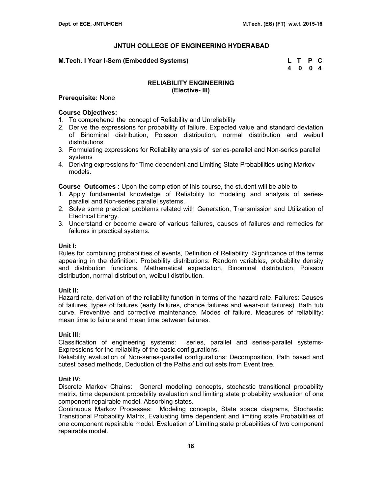### **M.Tech. I Year I-Sem (Embedded Systems)**

| M.Tech. I Year I-Sem (Embedded Systems) | L T P C |  |
|-----------------------------------------|---------|--|
|                                         | 4004    |  |

### **RELIABILITY ENGINEERING (Elective- III)**

### **Prerequisite:** None

# **Course Objectives:**

- 1. To comprehend the concept of Reliability and Unreliability
- 2. Derive the expressions for probability of failure, Expected value and standard deviation of Binominal distribution, Poisson distribution, normal distribution and weibull distributions.
- 3. Formulating expressions for Reliability analysis of series-parallel and Non-series parallel systems
- 4. Deriving expressions for Time dependent and Limiting State Probabilities using Markov models.

### **Course Outcomes :** Upon the completion of this course, the student will be able to

- 1. Apply fundamental knowledge of Reliability to modeling and analysis of seriesparallel and Non-series parallel systems.
- 2. Solve some practical problems related with Generation, Transmission and Utilization of Electrical Energy.
- 3. Understand or become aware of various failures, causes of failures and remedies for failures in practical systems.

### **Unit I:**

Rules for combining probabilities of events, Definition of Reliability. Significance of the terms appearing in the definition. Probability distributions: Random variables, probability density and distribution functions. Mathematical expectation, Binominal distribution, Poisson distribution, normal distribution, weibull distribution.

### **Unit II:**

Hazard rate, derivation of the reliability function in terms of the hazard rate. Failures: Causes of failures, types of failures (early failures, chance failures and wear-out failures). Bath tub curve. Preventive and corrective maintenance. Modes of failure. Measures of reliability: mean time to failure and mean time between failures.

### **Unit III:**

Classification of engineering systems: series, parallel and series-parallel systems-Expressions for the reliability of the basic configurations.

Reliability evaluation of Non-series-parallel configurations: Decomposition, Path based and cutest based methods, Deduction of the Paths and cut sets from Event tree.

### **Unit IV:**

Discrete Markov Chains: General modeling concepts, stochastic transitional probability matrix, time dependent probability evaluation and limiting state probability evaluation of one component repairable model. Absorbing states.

Continuous Markov Processes: Modeling concepts, State space diagrams, Stochastic Transitional Probability Matrix, Evaluating time dependent and limiting state Probabilities of one component repairable model. Evaluation of Limiting state probabilities of two component repairable model.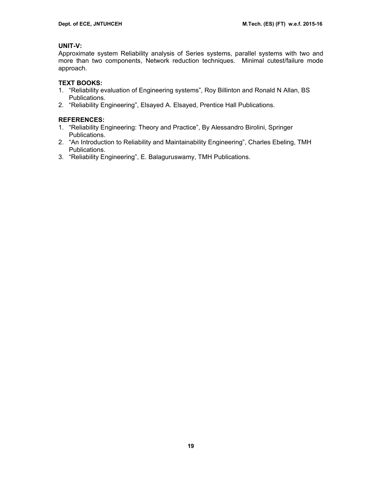# **UNIT-V:**

Approximate system Reliability analysis of Series systems, parallel systems with two and more than two components, Network reduction techniques. Minimal cutest/failure mode approach.

### **TEXT BOOKS:**

- 1. "Reliability evaluation of Engineering systems", Roy Billinton and Ronald N Allan, BS Publications.
- 2. "Reliability Engineering", Elsayed A. Elsayed, Prentice Hall Publications.

# **REFERENCES:**

- 1. "Reliability Engineering: Theory and Practice", By Alessandro Birolini, Springer Publications.
- 2. "An Introduction to Reliability and Maintainability Engineering", Charles Ebeling, TMH Publications.
- 3. "Reliability Engineering", E. Balaguruswamy, TMH Publications.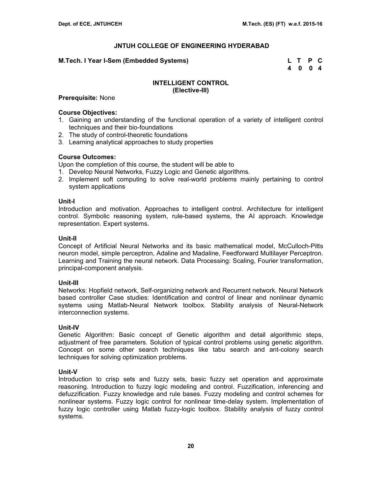### **M.Tech. I Year I-Sem (Embedded Systems) L T P C**

 **4 0 0 4** 

### **INTELLIGENT CONTROL (Elective-III)**

### **Prerequisite:** None

### **Course Objectives:**

- 1. Gaining an understanding of the functional operation of a variety of intelligent control techniques and their bio-foundations
- 2. The study of control-theoretic foundations
- 3. Learning analytical approaches to study properties

### **Course Outcomes:**

Upon the completion of this course, the student will be able to

- 1. Develop Neural Networks, Fuzzy Logic and Genetic algorithms.
- 2. Implement soft computing to solve real-world problems mainly pertaining to control system applications

#### **Unit-I**

Introduction and motivation. Approaches to intelligent control. Architecture for intelligent control. Symbolic reasoning system, rule-based systems, the AI approach. Knowledge representation. Expert systems.

### **Unit-II**

Concept of Artificial Neural Networks and its basic mathematical model, McCulloch-Pitts neuron model, simple perceptron, Adaline and Madaline, Feedforward Multilayer Perceptron. Learning and Training the neural network. Data Processing: Scaling, Fourier transformation, principal-component analysis.

### **Unit-III**

Networks: Hopfield network, Self-organizing network and Recurrent network. Neural Network based controller Case studies: Identification and control of linear and nonlinear dynamic systems using Matlab-Neural Network toolbox. Stability analysis of Neural-Network interconnection systems.

### **Unit-IV**

Genetic Algorithm: Basic concept of Genetic algorithm and detail algorithmic steps, adjustment of free parameters. Solution of typical control problems using genetic algorithm. Concept on some other search techniques like tabu search and ant-colony search techniques for solving optimization problems.

### **Unit-V**

Introduction to crisp sets and fuzzy sets, basic fuzzy set operation and approximate reasoning. Introduction to fuzzy logic modeling and control. Fuzzification, inferencing and defuzzification. Fuzzy knowledge and rule bases. Fuzzy modeling and control schemes for nonlinear systems. Fuzzy logic control for nonlinear time-delay system. Implementation of fuzzy logic controller using Matlab fuzzy-logic toolbox. Stability analysis of fuzzy control systems.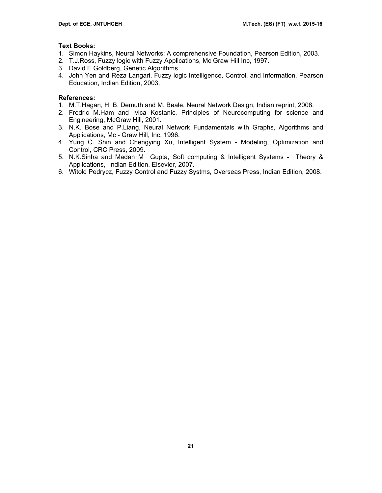# **Text Books:**

- 1. Simon Haykins, Neural Networks: A comprehensive Foundation, Pearson Edition, 2003.
- 2. T.J.Ross, Fuzzy logic with Fuzzy Applications, Mc Graw Hill Inc, 1997.
- 3. David E Goldberg, Genetic Algorithms.
- 4. John Yen and Reza Langari, Fuzzy logic Intelligence, Control, and Information, Pearson Education, Indian Edition, 2003.

# **References:**

- 1. M.T.Hagan, H. B. Demuth and M. Beale, Neural Network Design, Indian reprint, 2008.
- 2. Fredric M.Ham and Ivica Kostanic, Principles of Neurocomputing for science and Engineering, McGraw Hill, 2001.
- 3. N.K. Bose and P.Liang, Neural Network Fundamentals with Graphs, Algorithms and Applications, Mc - Graw Hill, Inc. 1996.
- 4. Yung C. Shin and Chengying Xu, Intelligent System Modeling, Optimization and Control, CRC Press, 2009.
- 5. N.K.Sinha and Madan M Gupta, Soft computing & Intelligent Systems Theory & Applications, Indian Edition, Elsevier, 2007.
- 6. Witold Pedrycz, Fuzzy Control and Fuzzy Systms, Overseas Press, Indian Edition, 2008.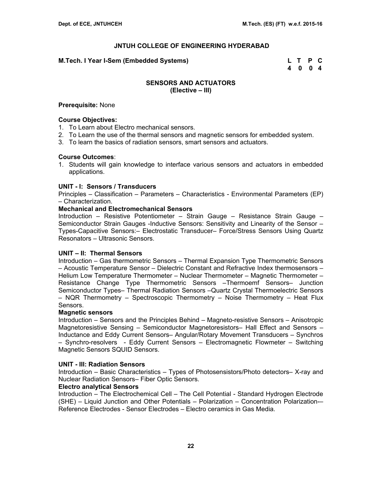#### **M.Tech. I Year I-Sem (Embedded Systems) L T P C**

 **4 0 0 4** 

### **SENSORS AND ACTUATORS (Elective – III)**

#### **Prerequisite:** None

#### **Course Objectives:**

- 1. To Learn about Electro mechanical sensors.
- 2. To Learn the use of the thermal sensors and magnetic sensors for embedded system.
- 3. To learn the basics of radiation sensors, smart sensors and actuators.

#### **Course Outcomes**:

1. Students will gain knowledge to interface various sensors and actuators in embedded applications.

### **UNIT - I: Sensors / Transducers**

Principles – Classification – Parameters – Characteristics - Environmental Parameters (EP) – Characterization.

#### **Mechanical and Electromechanical Sensors**

Introduction – Resistive Potentiometer – Strain Gauge – Resistance Strain Gauge – Semiconductor Strain Gauges -Inductive Sensors: Sensitivity and Linearity of the Sensor – Types-Capacitive Sensors:– Electrostatic Transducer– Force/Stress Sensors Using Quartz Resonators – Ultrasonic Sensors.

### **UNIT – II: Thermal Sensors**

Introduction – Gas thermometric Sensors – Thermal Expansion Type Thermometric Sensors – Acoustic Temperature Sensor – Dielectric Constant and Refractive Index thermosensors – Helium Low Temperature Thermometer – Nuclear Thermometer – Magnetic Thermometer – Resistance Change Type Thermometric Sensors –Thermoemf Sensors– Junction Semiconductor Types– Thermal Radiation Sensors –Quartz Crystal Thermoelectric Sensors – NQR Thermometry – Spectroscopic Thermometry – Noise Thermometry – Heat Flux Sensors.

#### **Magnetic sensors**

Introduction – Sensors and the Principles Behind – Magneto-resistive Sensors – Anisotropic Magnetoresistive Sensing – Semiconductor Magnetoresistors– Hall Effect and Sensors – Inductance and Eddy Current Sensors– Angular/Rotary Movement Transducers – Synchros – Synchro-resolvers - Eddy Current Sensors – Electromagnetic Flowmeter – Switching Magnetic Sensors SQUID Sensors.

#### **UNIT - III: Radiation Sensors**

Introduction – Basic Characteristics – Types of Photosensistors/Photo detectors– X-ray and Nuclear Radiation Sensors– Fiber Optic Sensors.

### **Electro analytical Sensors**

Introduction – The Electrochemical Cell – The Cell Potential - Standard Hydrogen Electrode (SHE) – Liquid Junction and Other Potentials – Polarization – Concentration Polarization-– Reference Electrodes - Sensor Electrodes – Electro ceramics in Gas Media.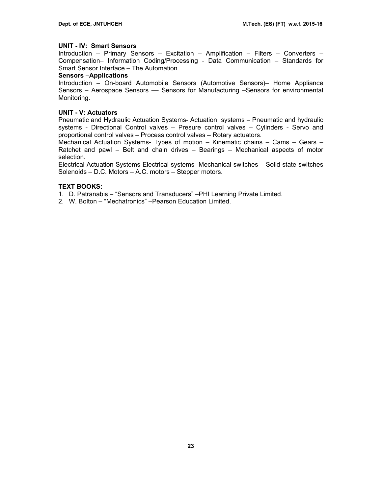### **UNIT - IV: Smart Sensors**

Introduction – Primary Sensors – Excitation – Amplification – Filters – Converters – Compensation– Information Coding/Processing - Data Communication – Standards for Smart Sensor Interface – The Automation.

### **Sensors –Applications**

Introduction – On-board Automobile Sensors (Automotive Sensors)– Home Appliance Sensors – Aerospace Sensors –– Sensors for Manufacturing –Sensors for environmental Monitoring.

### **UNIT - V: Actuators**

Pneumatic and Hydraulic Actuation Systems- Actuation systems – Pneumatic and hydraulic systems - Directional Control valves – Presure control valves – Cylinders - Servo and proportional control valves – Process control valves – Rotary actuators.

Mechanical Actuation Systems- Types of motion – Kinematic chains – Cams – Gears – Ratchet and pawl – Belt and chain drives – Bearings – Mechanical aspects of motor selection.

Electrical Actuation Systems-Electrical systems -Mechanical switches – Solid-state switches Solenoids – D.C. Motors – A.C. motors – Stepper motors.

### **TEXT BOOKS:**

1. D. Patranabis – "Sensors and Transducers" –PHI Learning Private Limited.

2. W. Bolton – "Mechatronics" –Pearson Education Limited.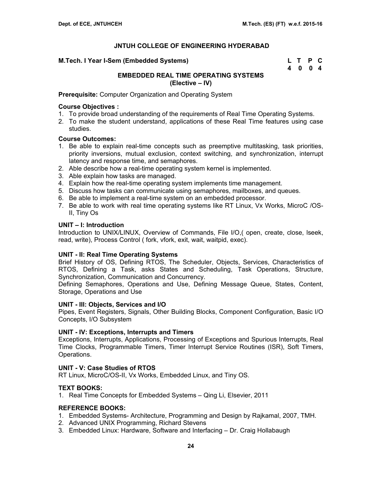### **M.Tech. I Year I-Sem (Embedded Systems)**

| M.Tech. I Year I-Sem (Embedded Systems) | L T P C |  |
|-----------------------------------------|---------|--|
|                                         | 4 0 0 4 |  |

# **EMBEDDED REAL TIME OPERATING SYSTEMS (Elective – IV)**

**Prerequisite:** Computer Organization and Operating System

### **Course Objectives :**

- 1. To provide broad understanding of the requirements of Real Time Operating Systems.
- 2. To make the student understand, applications of these Real Time features using case studies.

# **Course Outcomes:**

- 1. Be able to explain real-time concepts such as preemptive multitasking, task priorities, priority inversions, mutual exclusion, context switching, and synchronization, interrupt latency and response time, and semaphores.
- 2. Able describe how a real-time operating system kernel is implemented.
- 3. Able explain how tasks are managed.
- 4. Explain how the real-time operating system implements time management.
- 5. Discuss how tasks can communicate using semaphores, mailboxes, and queues.
- 6. Be able to implement a real-time system on an embedded processor.
- 7. Be able to work with real time operating systems like RT Linux, Vx Works, MicroC /OS-II, Tiny Os

### **UNIT – I: Introduction**

Introduction to UNIX/LINUX, Overview of Commands, File I/O,( open, create, close, lseek, read, write), Process Control ( fork, vfork, exit, wait, waitpid, exec).

# **UNIT - II: Real Time Operating Systems**

Brief History of OS, Defining RTOS, The Scheduler, Objects, Services, Characteristics of RTOS, Defining a Task, asks States and Scheduling, Task Operations, Structure, Synchronization, Communication and Concurrency.

Defining Semaphores, Operations and Use, Defining Message Queue, States, Content, Storage, Operations and Use

### **UNIT - III: Objects, Services and I/O**

Pipes, Event Registers, Signals, Other Building Blocks, Component Configuration, Basic I/O Concepts, I/O Subsystem

### **UNIT - IV: Exceptions, Interrupts and Timers**

Exceptions, Interrupts, Applications, Processing of Exceptions and Spurious Interrupts, Real Time Clocks, Programmable Timers, Timer Interrupt Service Routines (ISR), Soft Timers, Operations.

# **UNIT - V: Case Studies of RTOS**

RT Linux, MicroC/OS-II, Vx Works, Embedded Linux, and Tiny OS.

# **TEXT BOOKS:**

1. Real Time Concepts for Embedded Systems – Qing Li, Elsevier, 2011

- 1. Embedded Systems- Architecture, Programming and Design by Rajkamal, 2007, TMH.
- 2. Advanced UNIX Programming, Richard Stevens
- 3. Embedded Linux: Hardware, Software and Interfacing Dr. Craig Hollabaugh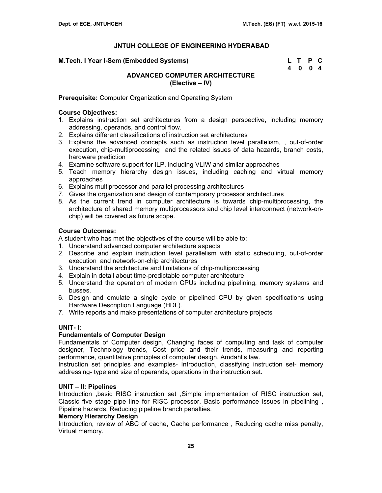### **M.Tech. I Year I-Sem (Embedded Systems)**

| M.Tech. I Year I-Sem (Embedded Systems) | L T P C |  |
|-----------------------------------------|---------|--|
|                                         | 4004    |  |

# **ADVANCED COMPUTER ARCHITECTURE (Elective – IV)**

### **Prerequisite:** Computer Organization and Operating System

# **Course Objectives:**

- 1. Explains instruction set architectures from a design perspective, including memory addressing, operands, and control flow.
- 2. Explains different classifications of instruction set architectures
- 3. Explains the advanced concepts such as instruction level parallelism, , out-of-order execution, chip-multiprocessing and the related issues of data hazards, branch costs, hardware prediction
- 4. Examine software support for ILP, including VLIW and similar approaches
- 5. Teach memory hierarchy design issues, including caching and virtual memory approaches
- 6. Explains multiprocessor and parallel processing architectures
- 7. Gives the organization and design of contemporary processor architectures
- 8. As the current trend in computer architecture is towards chip-multiprocessing, the architecture of shared memory multiprocessors and chip level interconnect (network-onchip) will be covered as future scope.

# **Course Outcomes:**

A student who has met the objectives of the course will be able to:

- 1. Understand advanced computer architecture aspects
- 2. Describe and explain instruction level parallelism with static scheduling, out-of-order execution and network-on-chip architectures
- 3. Understand the architecture and limitations of chip-multiprocessing
- 4. Explain in detail about time-predictable computer architecture
- 5. Understand the operation of modern CPUs including pipelining, memory systems and busses.
- 6. Design and emulate a single cycle or pipelined CPU by given specifications using Hardware Description Language (HDL).
- 7. Write reports and make presentations of computer architecture projects

# **UNIT- I:**

### **Fundamentals of Computer Design**

Fundamentals of Computer design, Changing faces of computing and task of computer designer, Technology trends, Cost price and their trends, measuring and reporting performance, quantitative principles of computer design, Amdahl's law.

Instruction set principles and examples- Introduction, classifying instruction set- memory addressing- type and size of operands, operations in the instruction set.

# **UNIT – II: Pipelines**

Introduction ,basic RISC instruction set ,Simple implementation of RISC instruction set, Classic five stage pipe line for RISC processor, Basic performance issues in pipelining , Pipeline hazards, Reducing pipeline branch penalties.

### **Memory Hierarchy Design**

Introduction, review of ABC of cache, Cache performance , Reducing cache miss penalty, Virtual memory.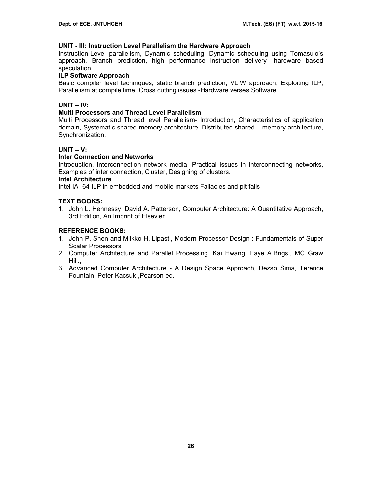### **UNIT - III: Instruction Level Parallelism the Hardware Approach**

Instruction-Level parallelism, Dynamic scheduling, Dynamic scheduling using Tomasulo's approach, Branch prediction, high performance instruction delivery- hardware based speculation.

### **ILP Software Approach**

Basic compiler level techniques, static branch prediction, VLIW approach, Exploiting ILP, Parallelism at compile time, Cross cutting issues -Hardware verses Software.

# **UNIT – IV:**

# **Multi Processors and Thread Level Parallelism**

Multi Processors and Thread level Parallelism- Introduction, Characteristics of application domain, Systematic shared memory architecture, Distributed shared – memory architecture, Synchronization.

# **UNIT – V:**

# **Inter Connection and Networks**

Introduction, Interconnection network media, Practical issues in interconnecting networks, Examples of inter connection, Cluster, Designing of clusters.

### **Intel Architecture**

Intel IA- 64 ILP in embedded and mobile markets Fallacies and pit falls

# **TEXT BOOKS:**

1. John L. Hennessy, David A. Patterson, Computer Architecture: A Quantitative Approach, 3rd Edition, An Imprint of Elsevier.

- 1. John P. Shen and Miikko H. Lipasti, Modern Processor Design : Fundamentals of Super Scalar Processors
- 2. Computer Architecture and Parallel Processing ,Kai Hwang, Faye A.Brigs., MC Graw Hill.,
- 3. Advanced Computer Architecture A Design Space Approach, Dezso Sima, Terence Fountain, Peter Kacsuk ,Pearson ed.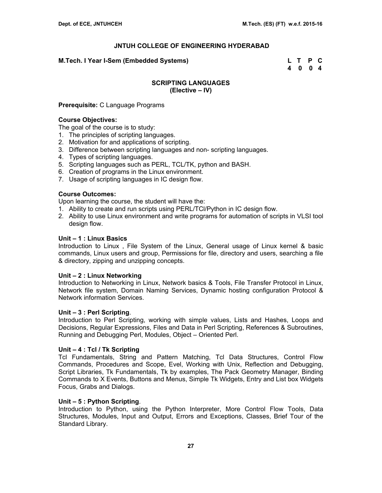### **M.Tech. I Year I-Sem (Embedded Systems) L T P C**

 **4 0 0 4** 

### **SCRIPTING LANGUAGES (Elective – IV)**

### **Prerequisite:** C Language Programs

### **Course Objectives:**

The goal of the course is to study:

- 1. The principles of scripting languages.
- 2. Motivation for and applications of scripting.
- 3. Difference between scripting languages and non- scripting languages.
- 4. Types of scripting languages.
- 5. Scripting languages such as PERL, TCL/TK, python and BASH.
- 6. Creation of programs in the Linux environment.
- 7. Usage of scripting languages in IC design flow.

### **Course Outcomes:**

Upon learning the course, the student will have the:

- 1. Ability to create and run scripts using PERL/TCl/Python in IC design flow.
- 2. Ability to use Linux environment and write programs for automation of scripts in VLSI tool design flow.

### **Unit – 1 : Linux Basics**

Introduction to Linux , File System of the Linux, General usage of Linux kernel & basic commands, Linux users and group, Permissions for file, directory and users, searching a file & directory, zipping and unzipping concepts.

### **Unit – 2 : Linux Networking**

Introduction to Networking in Linux, Network basics & Tools, File Transfer Protocol in Linux, Network file system, Domain Naming Services, Dynamic hosting configuration Protocol & Network information Services.

### **Unit – 3 : Perl Scripting**.

Introduction to Perl Scripting, working with simple values, Lists and Hashes, Loops and Decisions, Regular Expressions, Files and Data in Perl Scripting, References & Subroutines, Running and Debugging Perl, Modules, Object – Oriented Perl.

### **Unit – 4 : Tcl / Tk Scripting**

Tcl Fundamentals, String and Pattern Matching, Tcl Data Structures, Control Flow Commands, Procedures and Scope, Evel, Working with Unix, Reflection and Debugging, Script Libraries, Tk Fundamentals, Tk by examples, The Pack Geometry Manager, Binding Commands to X Events, Buttons and Menus, Simple Tk Widgets, Entry and List box Widgets Focus, Grabs and Dialogs.

### **Unit – 5 : Python Scripting**.

Introduction to Python, using the Python Interpreter, More Control Flow Tools, Data Structures, Modules, Input and Output, Errors and Exceptions, Classes, Brief Tour of the Standard Library.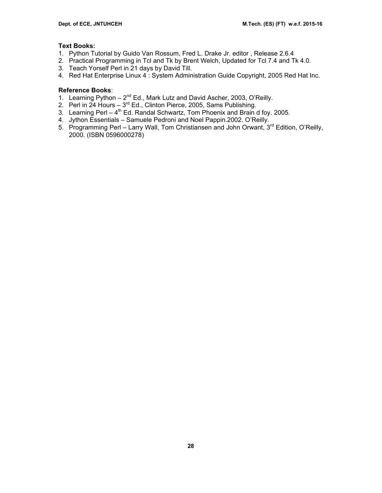# **Text Books:**

- 1. Python Tutorial by Guido Van Rossum, Fred L. Drake Jr. editor , Release 2.6.4
- 2. Practical Programming in Tcl and Tk by Brent Welch, Updated for Tcl 7.4 and Tk 4.0.
- 3. Teach Yorself Perl in 21 days by David Till.
- 4. Red Hat Enterprise Linux 4 : System Administration Guide Copyright, 2005 Red Hat Inc.

# **Reference Books**:

- 1. Learning Python  $-2^{nd}$  Ed., Mark Lutz and David Ascher, 2003, O'Reilly.
- 2. Perl in 24 Hours 3<sup>rd</sup> Ed., Clinton Pierce, 2005, Sams Publishing.
- 3. Learning Perl  $-4^{th}$  Ed. Randal Schwartz, Tom Phoenix and Brain d foy. 2005.
- 4. Jython Essentials Samuele Pedroni and Noel Pappin.2002. O'Reilly.
- 5. Programming Perl Larry Wall, Tom Christiansen and John Orwant, 3rd Edition, O'Reilly, 2000. (ISBN 0596000278)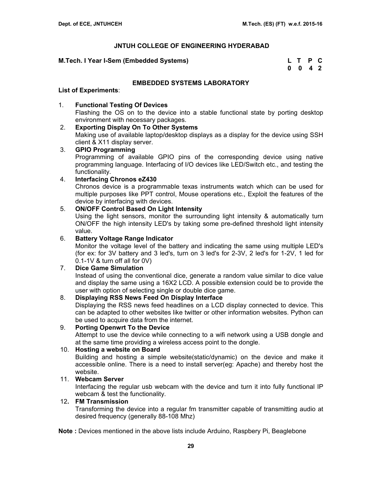### **M.Tech. I Year I-Sem (Embedded Systems)**

| M.Tech. I Year I-Sem (Embedded Systems) | L T P C |  |
|-----------------------------------------|---------|--|
|                                         | 0 0 4 2 |  |

# **EMBEDDED SYSTEMS LABORATORY**

### **List of Experiments**:

1. **Functional Testing Of Devices**

Flashing the OS on to the device into a stable functional state by porting desktop environment with necessary packages.

2. **Exporting Display On To Other Systems**

Making use of available laptop/desktop displays as a display for the device using SSH client & X11 display server.

- 3. **GPIO Programming** Programming of available GPIO pins of the corresponding device using native programming language. Interfacing of I/O devices like LED/Switch etc., and testing the functionality.
- 4. **Interfacing Chronos eZ430**

Chronos device is a programmable texas instruments watch which can be used for multiple purposes like PPT control, Mouse operations etc., Exploit the features of the device by interfacing with devices.

# 5. **ON/OFF Control Based On Light Intensity**

Using the light sensors, monitor the surrounding light intensity & automatically turn ON/OFF the high intensity LED's by taking some pre-defined threshold light intensity value.

# 6. **Battery Voltage Range Indicator**

Monitor the voltage level of the battery and indicating the same using multiple LED's (for ex: for 3V battery and 3 led's, turn on 3 led's for 2-3V, 2 led's for 1-2V, 1 led for 0.1-1V & turn off all for 0V)

### 7. **Dice Game Simulation**

Instead of using the conventional dice, generate a random value similar to dice value and display the same using a 16X2 LCD. A possible extension could be to provide the user with option of selecting single or double dice game.

# 8. **Displaying RSS News Feed On Display Interface**

Displaying the RSS news feed headlines on a LCD display connected to device. This can be adapted to other websites like twitter or other information websites. Python can be used to acquire data from the internet.

### 9. **Porting Openwrt To the Device**

Attempt to use the device while connecting to a wifi network using a USB dongle and at the same time providing a wireless access point to the dongle.

# 10. **Hosting a website on Board**

Building and hosting a simple website(static/dynamic) on the device and make it accessible online. There is a need to install server(eg: Apache) and thereby host the website.

### 11. **Webcam Server**

Interfacing the regular usb webcam with the device and turn it into fully functional IP webcam & test the functionality.

# 12**. FM Transmission**

Transforming the device into a regular fm transmitter capable of transmitting audio at desired frequency (generally 88-108 Mhz)

**Note :** Devices mentioned in the above lists include Arduino, Raspbery Pi, Beaglebone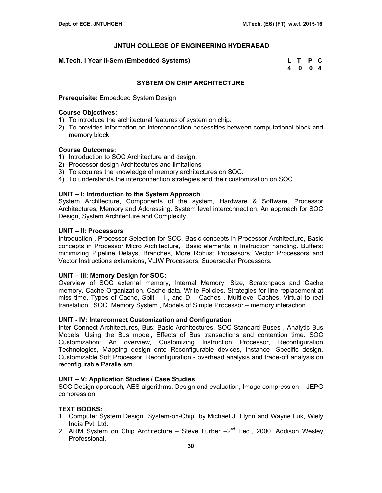### **M.Tech. I Year II-Sem (Embedded Systems)**

| M.Tech. I Year II-Sem (Embedded Systems) | L T P C |  |
|------------------------------------------|---------|--|
|                                          | 4004    |  |

### **SYSTEM ON CHIP ARCHITECTURE**

**Prerequisite:** Embedded System Design.

### **Course Objectives:**

- 1) To introduce the architectural features of system on chip.
- 2) To provides information on interconnection necessities between computational block and memory block.

### **Course Outcomes:**

- 1) Introduction to SOC Architecture and design.
- 2) Processor design Architectures and limitations
- 3) To acquires the knowledge of memory architectures on SOC.
- 4) To understands the interconnection strategies and their customization on SOC.

### **UNIT – I: Introduction to the System Approach**

System Architecture, Components of the system, Hardware & Software, Processor Architectures, Memory and Addressing. System level interconnection, An approach for SOC Design, System Architecture and Complexity.

### **UNIT – II: Processors**

Introduction , Processor Selection for SOC, Basic concepts in Processor Architecture, Basic concepts in Processor Micro Architecture, Basic elements in Instruction handling. Buffers: minimizing Pipeline Delays, Branches, More Robust Processors, Vector Processors and Vector Instructions extensions, VLIW Processors, Superscalar Processors.

### **UNIT – III: Memory Design for SOC:**

Overview of SOC external memory, Internal Memory, Size, Scratchpads and Cache memory, Cache Organization, Cache data, Write Policies, Strategies for line replacement at miss time, Types of Cache, Split  $-1$ , and  $D -$  Caches, Multilevel Caches, Virtual to real translation , SOC Memory System , Models of Simple Processor – memory interaction.

### **UNIT - IV: Interconnect Customization and Configuration**

Inter Connect Architectures, Bus: Basic Architectures, SOC Standard Buses , Analytic Bus Models, Using the Bus model, Effects of Bus transactions and contention time. SOC Customization: An overview, Customizing Instruction Processor, Reconfiguration Technologies, Mapping design onto Reconfigurable devices, Instance- Specific design, Customizable Soft Processor, Reconfiguration - overhead analysis and trade-off analysis on reconfigurable Parallelism.

### **UNIT – V: Application Studies / Case Studies**

SOC Design approach, AES algorithms, Design and evaluation, Image compression – JEPG compression.

### **TEXT BOOKS:**

- 1. Computer System Design System-on-Chip by Michael J. Flynn and Wayne Luk, Wiely India Pvt. Ltd.
- 2. ARM System on Chip Architecture Steve Furber  $-2^{nd}$  Eed., 2000, Addison Wesley Professional.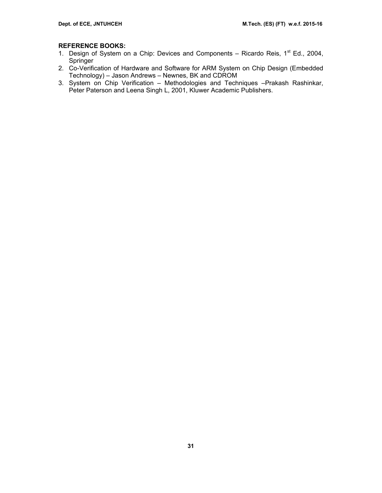- 1. Design of System on a Chip: Devices and Components Ricardo Reis,  $1<sup>st</sup> Ed.$ , 2004, Springer
- 2. Co-Verification of Hardware and Software for ARM System on Chip Design (Embedded Technology) – Jason Andrews – Newnes, BK and CDROM
- 3. System on Chip Verification Methodologies and Techniques –Prakash Rashinkar, Peter Paterson and Leena Singh L, 2001, Kluwer Academic Publishers.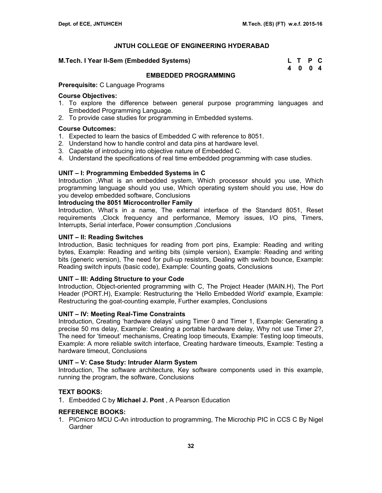### **M.Tech. I Year II-Sem (Embedded Systems)**

| M.Tech. I Year II-Sem (Embedded Systems) | L T P C |  |
|------------------------------------------|---------|--|
|                                          | 4004    |  |

### **EMBEDDED PROGRAMMING**

### **Prerequisite:** C Language Programs

# **Course Objectives:**

- 1. To explore the difference between general purpose programming languages and Embedded Programming Language.
- 2. To provide case studies for programming in Embedded systems.

### **Course Outcomes:**

- 1. Expected to learn the basics of Embedded C with reference to 8051.
- 2. Understand how to handle control and data pins at hardware level.
- 3. Capable of introducing into objective nature of Embedded C.
- 4. Understand the specifications of real time embedded programming with case studies.

# **UNIT – I: Programming Embedded Systems in C**

Introduction ,What is an embedded system, Which processor should you use, Which programming language should you use, Which operating system should you use, How do you develop embedded software, Conclusions

### **Introducing the 8051 Microcontroller Family**

Introduction, What's in a name, The external interface of the Standard 8051, Reset requirements ,Clock frequency and performance, Memory issues, I/O pins, Timers, Interrupts, Serial interface, Power consumption ,Conclusions

### **UNIT – II: Reading Switches**

Introduction, Basic techniques for reading from port pins, Example: Reading and writing bytes, Example: Reading and writing bits (simple version), Example: Reading and writing bits (generic version), The need for pull-up resistors, Dealing with switch bounce, Example: Reading switch inputs (basic code), Example: Counting goats, Conclusions

### **UNIT – III: Adding Structure to your Code**

Introduction, Object-oriented programming with C, The Project Header (MAIN.H), The Port Header (PORT.H), Example: Restructuring the 'Hello Embedded World' example, Example: Restructuring the goat-counting example, Further examples, Conclusions

### **UNIT – IV: Meeting Real-Time Constraints**

Introduction, Creating 'hardware delays' using Timer 0 and Timer 1, Example: Generating a precise 50 ms delay, Example: Creating a portable hardware delay, Why not use Timer 2?, The need for 'timeout' mechanisms, Creating loop timeouts, Example: Testing loop timeouts, Example: A more reliable switch interface, Creating hardware timeouts, Example: Testing a hardware timeout, Conclusions

### **UNIT – V: Case Study: Intruder Alarm System**

Introduction, The software architecture, Key software components used in this example, running the program, the software, Conclusions

### **TEXT BOOKS:**

1. Embedded C by **Michael J. Pont** , A Pearson Education

### **REFERENCE BOOKS:**

1. PICmicro MCU C-An introduction to programming, The Microchip PIC in CCS C By Nigel Gardner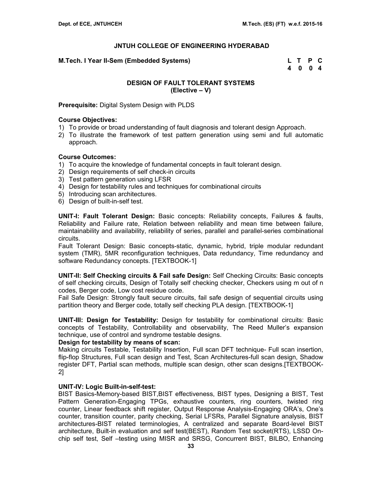**M.Tech. I Year II-Sem (Embedded Systems) L T P C** 

 **4 0 0 4** 

# **DESIGN OF FAULT TOLERANT SYSTEMS (Elective – V)**

**Prerequisite:** Digital System Design with PLDS

### **Course Objectives:**

- 1) To provide or broad understanding of fault diagnosis and tolerant design Approach.
- 2) To illustrate the framework of test pattern generation using semi and full automatic approach.

# **Course Outcomes:**

- 1) To acquire the knowledge of fundamental concepts in fault tolerant design.
- 2) Design requirements of self check-in circuits
- 3) Test pattern generation using LFSR
- 4) Design for testability rules and techniques for combinational circuits
- 5) Introducing scan architectures.
- 6) Design of built-in-self test.

**UNIT-I: Fault Tolerant Design:** Basic concepts: Reliability concepts, Failures & faults, Reliability and Failure rate, Relation between reliability and mean time between failure, maintainability and availability, reliability of series, parallel and parallel-series combinational circuits.

Fault Tolerant Design: Basic concepts-static, dynamic, hybrid, triple modular redundant system (TMR), 5MR reconfiguration techniques, Data redundancy, Time redundancy and software Redundancy concepts. [TEXTBOOK-1]

**UNIT-II: Self Checking circuits & Fail safe Design:** Self Checking Circuits: Basic concepts of self checking circuits, Design of Totally self checking checker, Checkers using m out of n codes, Berger code, Low cost residue code.

Fail Safe Design: Strongly fault secure circuits, fail safe design of sequential circuits using partition theory and Berger code, totally self checking PLA design. [TEXTBOOK-1]

**UNIT-III: Design for Testability:** Design for testability for combinational circuits: Basic concepts of Testability, Controllability and observability, The Reed Muller's expansion technique, use of control and syndrome testable designs.

### **Design for testability by means of scan:**

Making circuits Testable, Testability Insertion, Full scan DFT technique- Full scan insertion, flip-flop Structures, Full scan design and Test, Scan Architectures-full scan design, Shadow register DFT, Partial scan methods, multiple scan design, other scan designs.[TEXTBOOK-2]

# **UNIT-IV: Logic Built-in-self-test:**

BIST Basics-Memory-based BIST,BIST effectiveness, BIST types, Designing a BIST, Test Pattern Generation-Engaging TPGs, exhaustive counters, ring counters, twisted ring counter, Linear feedback shift register, Output Response Analysis-Engaging ORA's, One's counter, transition counter, parity checking, Serial LFSRs, Parallel Signature analysis, BIST architectures-BIST related terminologies, A centralized and separate Board-level BIST architecture, Built-in evaluation and self test(BEST), Random Test socket(RTS), LSSD Onchip self test, Self –testing using MISR and SRSG, Concurrent BIST, BILBO, Enhancing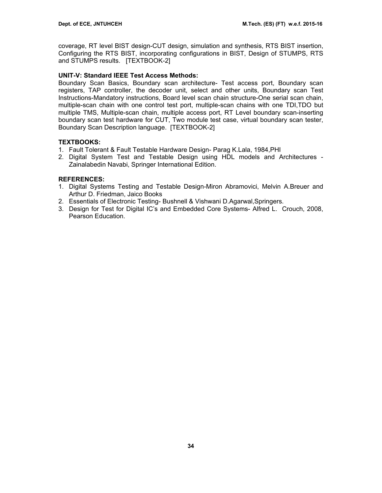coverage, RT level BIST design-CUT design, simulation and synthesis, RTS BIST insertion, Configuring the RTS BIST, incorporating configurations in BIST, Design of STUMPS, RTS and STUMPS results. [TEXTBOOK-2]

# **UNIT-V: Standard IEEE Test Access Methods:**

Boundary Scan Basics, Boundary scan architecture- Test access port, Boundary scan registers, TAP controller, the decoder unit, select and other units, Boundary scan Test Instructions-Mandatory instructions, Board level scan chain structure-One serial scan chain, multiple-scan chain with one control test port, multiple-scan chains with one TDI,TDO but multiple TMS, Multiple-scan chain, multiple access port, RT Level boundary scan-inserting boundary scan test hardware for CUT, Two module test case, virtual boundary scan tester, Boundary Scan Description language. [TEXTBOOK-2]

# **TEXTBOOKS:**

- 1. Fault Tolerant & Fault Testable Hardware Design- Parag K.Lala, 1984,PHI
- 2. Digital System Test and Testable Design using HDL models and Architectures Zainalabedin Navabi, Springer International Edition.

# **REFERENCES:**

- 1. Digital Systems Testing and Testable Design-Miron Abramovici, Melvin A.Breuer and Arthur D. Friedman, Jaico Books
- 2. Essentials of Electronic Testing- Bushnell & Vishwani D.Agarwal,Springers.
- 3. Design for Test for Digital IC's and Embedded Core Systems- Alfred L. Crouch, 2008, Pearson Education.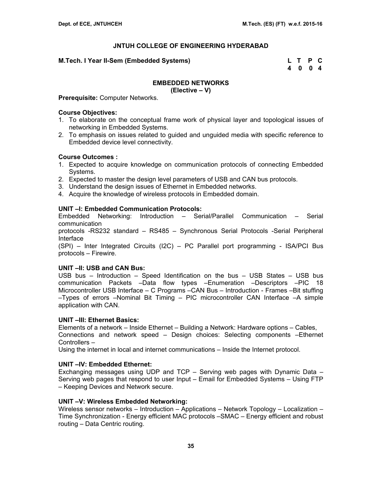### **M.Tech. I Year II-Sem (Embedded Systems) L T P C**

 **4 0 0 4** 

# **EMBEDDED NETWORKS**

**(Elective – V)** 

**Prerequisite:** Computer Networks.

# **Course Objectives:**

- 1. To elaborate on the conceptual frame work of physical layer and topological issues of networking in Embedded Systems.
- 2. To emphasis on issues related to guided and unguided media with specific reference to Embedded device level connectivity.

### **Course Outcomes :**

- 1. Expected to acquire knowledge on communication protocols of connecting Embedded Systems.
- 2. Expected to master the design level parameters of USB and CAN bus protocols.
- 3. Understand the design issues of Ethernet in Embedded networks.
- 4. Acquire the knowledge of wireless protocols in Embedded domain.

### **UNIT –I: Embedded Communication Protocols:**

Embedded Networking: Introduction – Serial/Parallel Communication – Serial communication

protocols -RS232 standard – RS485 – Synchronous Serial Protocols -Serial Peripheral Interface

(SPI) – Inter Integrated Circuits (I2C) – PC Parallel port programming - ISA/PCI Bus protocols – Firewire.

#### **UNIT –II: USB and CAN Bus:**

USB bus – Introduction – Speed Identification on the bus – USB States – USB bus communication Packets –Data flow types –Enumeration –Descriptors –PIC 18 Microcontroller USB Interface – C Programs –CAN Bus – Introduction - Frames –Bit stuffing –Types of errors –Nominal Bit Timing – PIC microcontroller CAN Interface –A simple application with CAN.

### **UNIT –III: Ethernet Basics:**

Elements of a network – Inside Ethernet – Building a Network: Hardware options – Cables, Connections and network speed – Design choices: Selecting components –Ethernet Controllers –

Using the internet in local and internet communications – Inside the Internet protocol.

### **UNIT –IV: Embedded Ethernet:**

Exchanging messages using UDP and TCP – Serving web pages with Dynamic Data – Serving web pages that respond to user Input – Email for Embedded Systems – Using FTP – Keeping Devices and Network secure.

### **UNIT –V: Wireless Embedded Networking:**

Wireless sensor networks – Introduction – Applications – Network Topology – Localization – Time Synchronization - Energy efficient MAC protocols –SMAC – Energy efficient and robust routing – Data Centric routing.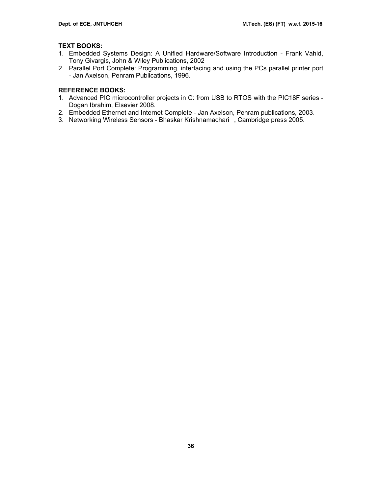# **TEXT BOOKS:**

- 1. Embedded Systems Design: A Unified Hardware/Software Introduction Frank Vahid, Tony Givargis, John & Wiley Publications, 2002
- 2. Parallel Port Complete: Programming, interfacing and using the PCs parallel printer port - Jan Axelson, Penram Publications, 1996.

- 1. Advanced PIC microcontroller projects in C: from USB to RTOS with the PIC18F series Dogan Ibrahim, Elsevier 2008.
- 2. Embedded Ethernet and Internet Complete Jan Axelson, Penram publications, 2003.
- 3. Networking Wireless Sensors Bhaskar Krishnamachari, Cambridge press 2005.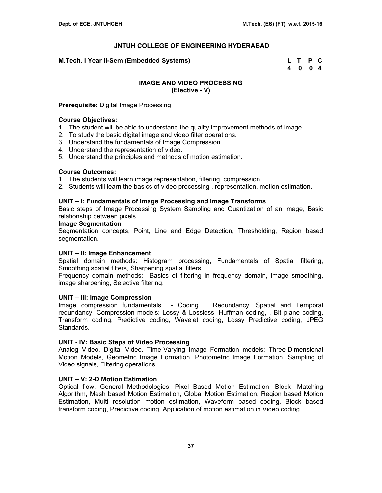### **M.Tech. I Year II-Sem (Embedded Systems) L T P C**

 **4 0 0 4** 

# **IMAGE AND VIDEO PROCESSING (Elective - V)**

### **Prerequisite:** Digital Image Processing

### **Course Objectives:**

- 1. The student will be able to understand the quality improvement methods of Image.
- 2. To study the basic digital image and video filter operations.
- 3. Understand the fundamentals of Image Compression.
- 4. Understand the representation of video.
- 5. Understand the principles and methods of motion estimation.

### **Course Outcomes:**

- 1. The students will learn image representation, filtering, compression.
- 2. Students will learn the basics of video processing , representation, motion estimation.

### **UNIT – I: Fundamentals of Image Processing and Image Transforms**

Basic steps of Image Processing System Sampling and Quantization of an image, Basic relationship between pixels.

### **Image Segmentation**

Segmentation concepts, Point, Line and Edge Detection, Thresholding, Region based segmentation.

### **UNIT – II: Image Enhancement**

Spatial domain methods: Histogram processing, Fundamentals of Spatial filtering, Smoothing spatial filters, Sharpening spatial filters.

Frequency domain methods: Basics of filtering in frequency domain, image smoothing, image sharpening, Selective filtering.

### **UNIT – III: Image Compression**

Image compression fundamentals - Coding Redundancy, Spatial and Temporal redundancy, Compression models: Lossy & Lossless, Huffman coding, , Bit plane coding, Transform coding, Predictive coding, Wavelet coding, Lossy Predictive coding, JPEG Standards.

### **UNIT - IV: Basic Steps of Video Processing**

Analog Video, Digital Video. Time-Varying Image Formation models: Three-Dimensional Motion Models, Geometric Image Formation, Photometric Image Formation, Sampling of Video signals, Filtering operations.

### **UNIT – V: 2-D Motion Estimation**

Optical flow, General Methodologies, Pixel Based Motion Estimation, Block- Matching Algorithm, Mesh based Motion Estimation, Global Motion Estimation, Region based Motion Estimation, Multi resolution motion estimation, Waveform based coding, Block based transform coding, Predictive coding, Application of motion estimation in Video coding.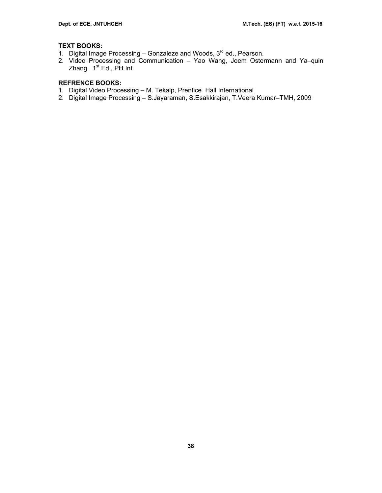# **TEXT BOOKS:**

- 1. Digital Image Processing Gonzaleze and Woods, 3<sup>rd</sup> ed., Pearson.
- 2. Video Processing and Communication Yao Wang, Joem Ostermann and Ya–quin Zhang.  $1^{st}$  Ed., PH Int.

- 1. Digital Video Processing M. Tekalp, Prentice Hall International
- 2. Digital Image Processing S.Jayaraman, S.Esakkirajan, T.Veera Kumar–TMH, 2009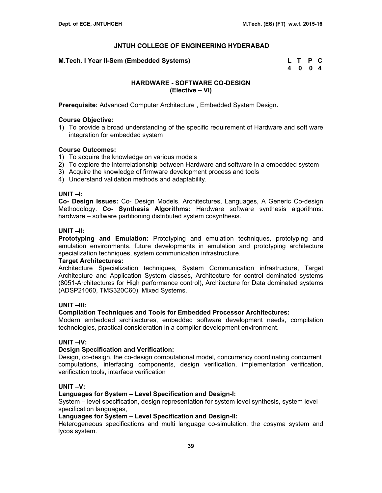### **M.Tech. I Year II-Sem (Embedded Systems)**

| M.Tech. I Year II-Sem (Embedded Systems) | L T P C |  |
|------------------------------------------|---------|--|
|                                          | 4 0 0 4 |  |

# **HARDWARE - SOFTWARE CO-DESIGN (Elective – VI)**

**Prerequisite:** Advanced Computer Architecture , Embedded System Design**.** 

### **Course Objective:**

1) To provide a broad understanding of the specific requirement of Hardware and soft ware integration for embedded system

### **Course Outcomes:**

- 1) To acquire the knowledge on various models
- 2) To explore the interrelationship between Hardware and software in a embedded system
- 3) Acquire the knowledge of firmware development process and tools
- 4) Understand validation methods and adaptability.

### **UNIT –I:**

**Co- Design Issues:** Co- Design Models, Architectures, Languages, A Generic Co-design Methodology. **Co- Synthesis Algorithms:** Hardware software synthesis algorithms: hardware – software partitioning distributed system cosynthesis.

### **UNIT –II:**

**Prototyping and Emulation:** Prototyping and emulation techniques, prototyping and emulation environments, future developments in emulation and prototyping architecture specialization techniques, system communication infrastructure.

#### **Target Architectures:**

Architecture Specialization techniques, System Communication infrastructure, Target Architecture and Application System classes, Architecture for control dominated systems (8051-Architectures for High performance control), Architecture for Data dominated systems (ADSP21060, TMS320C60), Mixed Systems.

### **UNIT –III:**

### **Compilation Techniques and Tools for Embedded Processor Architectures:**

Modern embedded architectures, embedded software development needs, compilation technologies, practical consideration in a compiler development environment.

# **UNIT –IV:**

### **Design Specification and Verification:**

Design, co-design, the co-design computational model, concurrency coordinating concurrent computations, interfacing components, design verification, implementation verification, verification tools, interface verification

# **UNIT –V:**

### **Languages for System – Level Specification and Design-I:**

System – level specification, design representation for system level synthesis, system level specification languages,

#### **Languages for System – Level Specification and Design-II:**

Heterogeneous specifications and multi language co-simulation, the cosyma system and lycos system.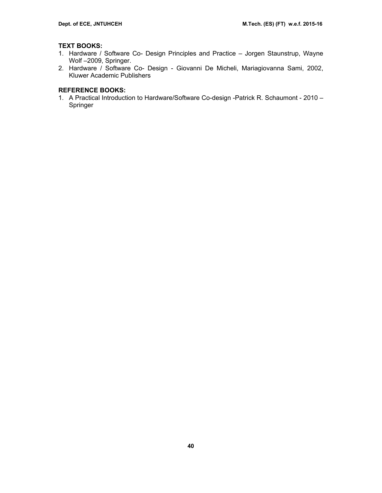# **TEXT BOOKS:**

- 1. Hardware / Software Co- Design Principles and Practice Jorgen Staunstrup, Wayne Wolf –2009, Springer.
- 2. Hardware / Software Co- Design Giovanni De Micheli, Mariagiovanna Sami, 2002, Kluwer Academic Publishers

# **REFERENCE BOOKS:**

1. A Practical Introduction to Hardware/Software Co-design -Patrick R. Schaumont - 2010 – Springer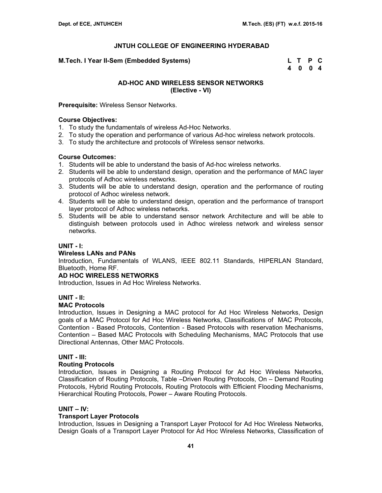**M.Tech. I Year II-Sem (Embedded Systems) L T P C** 

 **4 0 0 4** 

# **AD-HOC AND WIRELESS SENSOR NETWORKS (Elective - VI)**

**Prerequisite:** Wireless Sensor Networks.

### **Course Objectives:**

- 1. To study the fundamentals of wireless Ad-Hoc Networks.
- 2. To study the operation and performance of various Ad-hoc wireless network protocols.
- 3. To study the architecture and protocols of Wireless sensor networks.

### **Course Outcomes:**

- 1. Students will be able to understand the basis of Ad-hoc wireless networks.
- 2. Students will be able to understand design, operation and the performance of MAC layer protocols of Adhoc wireless networks.
- 3. Students will be able to understand design, operation and the performance of routing protocol of Adhoc wireless network.
- 4. Students will be able to understand design, operation and the performance of transport layer protocol of Adhoc wireless networks.
- 5. Students will be able to understand sensor network Architecture and will be able to distinguish between protocols used in Adhoc wireless network and wireless sensor networks.

### **UNIT - I:**

#### **Wireless LANs and PANs**

Introduction, Fundamentals of WLANS, IEEE 802.11 Standards, HIPERLAN Standard, Bluetooth, Home RF.

### **AD HOC WIRELESS NETWORKS**

Introduction, Issues in Ad Hoc Wireless Networks.

### **UNIT - II:**

### **MAC Protocols**

Introduction, Issues in Designing a MAC protocol for Ad Hoc Wireless Networks, Design goals of a MAC Protocol for Ad Hoc Wireless Networks, Classifications of MAC Protocols, Contention - Based Protocols, Contention - Based Protocols with reservation Mechanisms, Contention – Based MAC Protocols with Scheduling Mechanisms, MAC Protocols that use Directional Antennas, Other MAC Protocols.

# **UNIT - III:**

### **Routing Protocols**

Introduction, Issues in Designing a Routing Protocol for Ad Hoc Wireless Networks, Classification of Routing Protocols, Table –Driven Routing Protocols, On – Demand Routing Protocols, Hybrid Routing Protocols, Routing Protocols with Efficient Flooding Mechanisms, Hierarchical Routing Protocols, Power – Aware Routing Protocols.

#### **UNIT – IV:**

#### **Transport Layer Protocols**

Introduction, Issues in Designing a Transport Layer Protocol for Ad Hoc Wireless Networks, Design Goals of a Transport Layer Protocol for Ad Hoc Wireless Networks, Classification of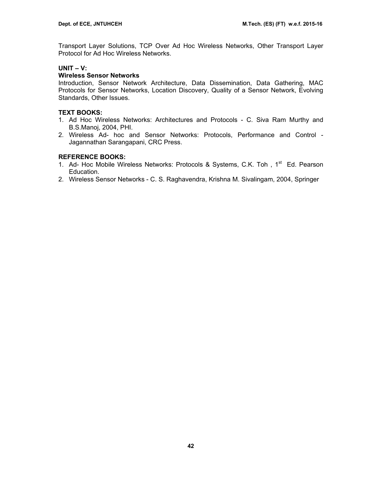Transport Layer Solutions, TCP Over Ad Hoc Wireless Networks, Other Transport Layer Protocol for Ad Hoc Wireless Networks.

# **UNIT – V:**

# **Wireless Sensor Networks**

Introduction, Sensor Network Architecture, Data Dissemination, Data Gathering, MAC Protocols for Sensor Networks, Location Discovery, Quality of a Sensor Network, Evolving Standards, Other Issues.

# **TEXT BOOKS:**

- 1. Ad Hoc Wireless Networks: Architectures and Protocols C. Siva Ram Murthy and B.S.Manoj, 2004, PHI.
- 2. Wireless Ad- hoc and Sensor Networks: Protocols, Performance and Control Jagannathan Sarangapani, CRC Press.

- 1. Ad- Hoc Mobile Wireless Networks: Protocols & Systems, C.K. Toh, 1<sup>st</sup> Ed. Pearson Education.
- 2. Wireless Sensor Networks C. S. Raghavendra, Krishna M. Sivalingam, 2004, Springer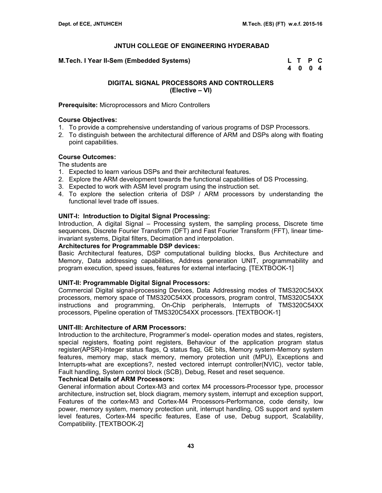**M.Tech. I Year II-Sem (Embedded Systems) L T P C** 

 **4 0 0 4** 

### **DIGITAL SIGNAL PROCESSORS AND CONTROLLERS (Elective – VI)**

### **Prerequisite:** Microprocessors and Micro Controllers

#### **Course Objectives:**

- 1. To provide a comprehensive understanding of various programs of DSP Processors.
- 2. To distinguish between the architectural difference of ARM and DSPs along with floating point capabilities.

### **Course Outcomes:**

The students are

- 1. Expected to learn various DSPs and their architectural features.
- 2. Explore the ARM development towards the functional capabilities of DS Processing.
- 3. Expected to work with ASM level program using the instruction set.
- 4. To explore the selection criteria of DSP / ARM processors by understanding the functional level trade off issues.

### **UNIT-I: Introduction to Digital Signal Processing:**

Introduction, A digital Signal – Processing system, the sampling process, Discrete time sequences, Discrete Fourier Transform (DFT) and Fast Fourier Transform (FFT), linear timeinvariant systems, Digital filters, Decimation and interpolation.

# **Architectures for Programmable DSP devices:**

Basic Architectural features, DSP computational building blocks, Bus Architecture and Memory, Data addressing capabilities, Address generation UNIT, programmability and program execution, speed issues, features for external interfacing. [TEXTBOOK-1]

### **UNIT-II: Programmable Digital Signal Processors:**

Commercial Digital signal-processing Devices, Data Addressing modes of TMS320C54XX processors, memory space of TMS320C54XX processors, program control, TMS320C54XX instructions and programming, On-Chip peripherals, Interrupts of TMS320C54XX processors, Pipeline operation of TMS320C54XX processors. [TEXTBOOK-1]

#### **UNIT-III: Architecture of ARM Processors:**

Introduction to the architecture, Programmer's model- operation modes and states, registers, special registers, floating point registers, Behaviour of the application program status register(APSR)-Integer status flags, Q status flag, GE bits, Memory system-Memory system features, memory map, stack memory, memory protection unit (MPU), Exceptions and Interrupts-what are exceptions?, nested vectored interrupt controller(NVIC), vector table, Fault handling, System control block (SCB), Debug, Reset and reset sequence.

### **Technical Details of ARM Processors:**

General information about Cortex-M3 and cortex M4 processors-Processor type, processor architecture, instruction set, block diagram, memory system, interrupt and exception support, Features of the cortex-M3 and Cortex-M4 Processors-Performance, code density, low power, memory system, memory protection unit, interrupt handling, OS support and system level features, Cortex-M4 specific features, Ease of use, Debug support, Scalability, Compatibility. [TEXTBOOK-2]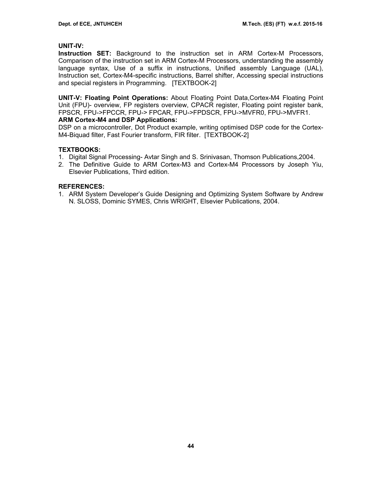### **UNIT-IV:**

**Instruction SET:** Background to the instruction set in ARM Cortex-M Processors, Comparison of the instruction set in ARM Cortex-M Processors, understanding the assembly language syntax, Use of a suffix in instructions, Unified assembly Language (UAL), Instruction set, Cortex-M4-specific instructions, Barrel shifter, Accessing special instructions and special registers in Programming. [TEXTBOOK-2]

**UNIT-V: Floating Point Operations:** About Floating Point Data,Cortex-M4 Floating Point Unit (FPU)- overview, FP registers overview, CPACR register, Floating point register bank, FPSCR, FPU->FPCCR, FPU-> FPCAR, FPU->FPDSCR, FPU->MVFR0, FPU->MVFR1.

### **ARM Cortex-M4 and DSP Applications:**

DSP on a microcontroller, Dot Product example, writing optimised DSP code for the Cortex-M4-Biquad filter, Fast Fourier transform, FIR filter. [TEXTBOOK-2]

### **TEXTBOOKS:**

- 1. Digital Signal Processing- Avtar Singh and S. Srinivasan, Thomson Publications,2004.
- 2. The Definitive Guide to ARM Cortex-M3 and Cortex-M4 Processors by Joseph Yiu, Elsevier Publications, Third edition.

#### **REFERENCES:**

1. ARM System Developer's Guide Designing and Optimizing System Software by Andrew N. SLOSS, Dominic SYMES, Chris WRIGHT, Elsevier Publications, 2004.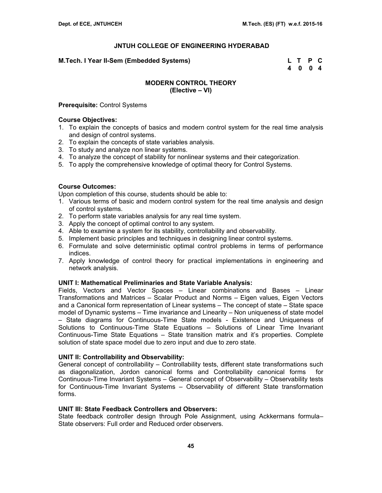### **M.Tech. I Year II-Sem (Embedded Systems) L T P C**

 **4 0 0 4** 

### **MODERN CONTROL THEORY (Elective – VI)**

### **Prerequisite:** Control Systems

### **Course Objectives:**

- 1. To explain the concepts of basics and modern control system for the real time analysis and design of control systems.
- 2. To explain the concepts of state variables analysis.
- 3. To study and analyze non linear systems.
- 4. To analyze the concept of stability for nonlinear systems and their categorization.
- 5. To apply the comprehensive knowledge of optimal theory for Control Systems.

### **Course Outcomes:**

Upon completion of this course, students should be able to:

- 1. Various terms of basic and modern control system for the real time analysis and design of control systems.
- 2. To perform state variables analysis for any real time system.
- 3. Apply the concept of optimal control to any system.
- 4. Able to examine a system for its stability, controllability and observability.
- 5. Implement basic principles and techniques in designing linear control systems.
- 6. Formulate and solve deterministic optimal control problems in terms of performance indices.
- 7. Apply knowledge of control theory for practical implementations in engineering and network analysis.

### **UNIT I: Mathematical Preliminaries and State Variable Analysis:**

Fields, Vectors and Vector Spaces – Linear combinations and Bases – Linear Transformations and Matrices – Scalar Product and Norms – Eigen values, Eigen Vectors and a Canonical form representation of Linear systems – The concept of state – State space model of Dynamic systems – Time invariance and Linearity – Non uniqueness of state model – State diagrams for Continuous-Time State models - Existence and Uniqueness of Solutions to Continuous-Time State Equations – Solutions of Linear Time Invariant Continuous-Time State Equations – State transition matrix and it's properties. Complete solution of state space model due to zero input and due to zero state.

### **UNIT II: Controllability and Observability:**

General concept of controllability – Controllability tests, different state transformations such as diagonalization, Jordon canonical forms and Controllability canonical forms for Continuous-Time Invariant Systems – General concept of Observability – Observability tests for Continuous-Time Invariant Systems – Observability of different State transformation forms.

### **UNIT III: State Feedback Controllers and Observers:**

State feedback controller design through Pole Assignment, using Ackkermans formula– State observers: Full order and Reduced order observers.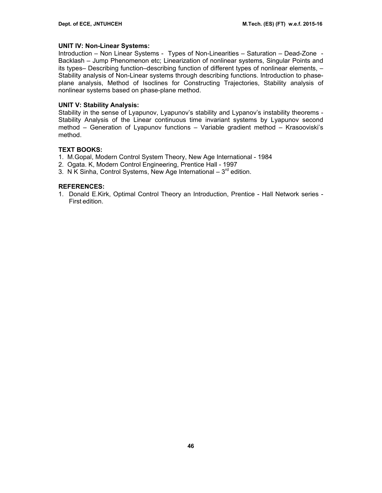#### **UNIT IV: Non-Linear Systems:**

Introduction – Non Linear Systems - Types of Non-Linearities – Saturation – Dead-Zone - Backlash – Jump Phenomenon etc; Linearization of nonlinear systems, Singular Points and its types– Describing function–describing function of different types of nonlinear elements, – Stability analysis of Non-Linear systems through describing functions. Introduction to phaseplane analysis, Method of Isoclines for Constructing Trajectories, Stability analysis of nonlinear systems based on phase-plane method.

### **UNIT V: Stability Analysis:**

Stability in the sense of Lyapunov, Lyapunov's stability and Lypanov's instability theorems - Stability Analysis of the Linear continuous time invariant systems by Lyapunov second method – Generation of Lyapunov functions – Variable gradient method – Krasooviski's method.

### **TEXT BOOKS:**

- 1.M.Gopal, Modern Control System Theory, New Age International 1984
- 2. Ogata. K, Modern Control Engineering, Prentice Hall 1997
- 3. N K Sinha, Control Systems, New Age International  $-3^{rd}$  edition.

### **REFERENCES:**

1. Donald E.Kirk, Optimal Control Theory an Introduction, Prentice - Hall Network series - First edition.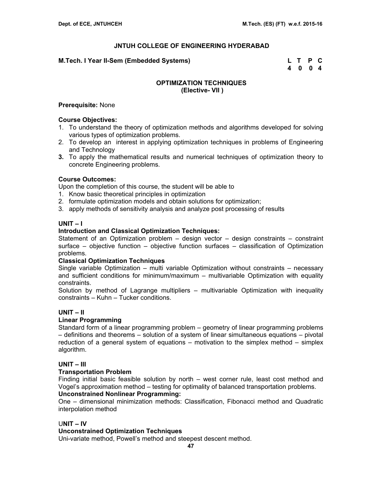# **M.Tech. I Year II-Sem (Embedded Systems)**

| M.Tech. I Year II-Sem (Embedded Systems) | L T P C |  |
|------------------------------------------|---------|--|
|                                          | 4 0 0 4 |  |

# **OPTIMIZATION TECHNIQUES (Elective- VII )**

### **Prerequisite:** None

# **Course Objectives:**

- 1. To understand the theory of optimization methods and algorithms developed for solving various types of optimization problems.
- 2. To develop an interest in applying optimization techniques in problems of Engineering and Technology
- **3.** To apply the mathematical results and numerical techniques of optimization theory to concrete Engineering problems.

# **Course Outcomes:**

Upon the completion of this course, the student will be able to

- 1. Know basic theoretical principles in optimization
- 2. formulate optimization models and obtain solutions for optimization;
- 3. apply methods of sensitivity analysis and analyze post processing of results

# **UNIT – I**

# **Introduction and Classical Optimization Techniques:**

Statement of an Optimization problem – design vector – design constraints – constraint surface – objective function – objective function surfaces – classification of Optimization problems.

### **Classical Optimization Techniques**

Single variable Optimization – multi variable Optimization without constraints – necessary and sufficient conditions for minimum/maximum – multivariable Optimization with equality constraints.

Solution by method of Lagrange multipliers – multivariable Optimization with inequality constraints – Kuhn – Tucker conditions.

# **UNIT – II**

### **Linear Programming**

Standard form of a linear programming problem – geometry of linear programming problems – definitions and theorems – solution of a system of linear simultaneous equations – pivotal reduction of a general system of equations – motivation to the simplex method – simplex algorithm.

### **UNIT – III**

### **Transportation Problem**

Finding initial basic feasible solution by north – west corner rule, least cost method and Vogel's approximation method – testing for optimality of balanced transportation problems.

### **Unconstrained Nonlinear Programming:**

One – dimensional minimization methods: Classification, Fibonacci method and Quadratic interpolation method

### U**NIT – IV**

### **Unconstrained Optimization Techniques**

Uni-variate method, Powell's method and steepest descent method.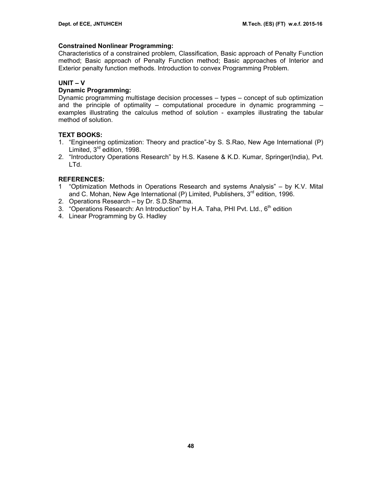### **Constrained Nonlinear Programming:**

Characteristics of a constrained problem, Classification, Basic approach of Penalty Function method; Basic approach of Penalty Function method; Basic approaches of Interior and Exterior penalty function methods. Introduction to convex Programming Problem.

# **UNIT – V**

# **Dynamic Programming:**

Dynamic programming multistage decision processes – types – concept of sub optimization and the principle of optimality – computational procedure in dynamic programming – examples illustrating the calculus method of solution - examples illustrating the tabular method of solution.

# **TEXT BOOKS:**

- 1. "Engineering optimization: Theory and practice"-by S. S.Rao, New Age International (P) Limited,  $3<sup>rd</sup>$  edition, 1998.
- 2. "Introductory Operations Research" by H.S. Kasene & K.D. Kumar, Springer(India), Pvt. LTd.

# **REFERENCES:**

- 1 "Optimization Methods in Operations Research and systems Analysis" by K.V. Mital and C. Mohan, New Age International (P) Limited, Publishers, 3<sup>rd</sup> edition, 1996.
- 2. Operations Research by Dr. S.D.Sharma.
- 3. "Operations Research: An Introduction" by H.A. Taha, PHI Pvt. Ltd.,  $6<sup>th</sup>$  edition
- 4. Linear Programming by G. Hadley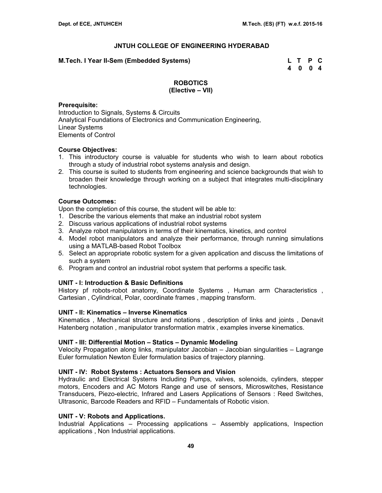### **M.Tech. I Year II-Sem (Embedded Systems) L T P C**

 **4 0 0 4** 

# **ROBOTICS**

# **(Elective – VII)**

### **Prerequisite:**

Introduction to Signals, Systems & Circuits Analytical Foundations of Electronics and Communication Engineering, Linear Systems Elements of Control

### **Course Objectives:**

- 1. This introductory course is valuable for students who wish to learn about robotics through a study of industrial robot systems analysis and design.
- 2. This course is suited to students from engineering and science backgrounds that wish to broaden their knowledge through working on a subject that integrates multi-disciplinary technologies.

# **Course Outcomes:**

Upon the completion of this course, the student will be able to:

- 1. Describe the various elements that make an industrial robot system
- 2. Discuss various applications of industrial robot systems
- 3. Analyze robot manipulators in terms of their kinematics, kinetics, and control
- 4. Model robot manipulators and analyze their performance, through running simulations using a MATLAB-based Robot Toolbox
- 5. Select an appropriate robotic system for a given application and discuss the limitations of such a system
- 6. Program and control an industrial robot system that performs a specific task.

# **UNIT - I: Introduction & Basic Definitions**

History pf robots-robot anatomy, Coordinate Systems , Human arm Characteristics , Cartesian , Cylindrical, Polar, coordinate frames , mapping transform.

### **UNIT - II: Kinematics – Inverse Kinematics**

Kinematics , Mechanical structure and notations , description of links and joints , Denavit Hatenberg notation , manipulator transformation matrix , examples inverse kinematics.

### **UNIT - III: Differential Motion – Statics – Dynamic Modeling**

Velocity Propagation along links, manipulator Jacobian – Jacobian singularities – Lagrange Euler formulation Newton Euler formulation basics of trajectory planning.

### **UNIT - IV: Robot Systems : Actuators Sensors and Vision**

Hydraulic and Electrical Systems Including Pumps, valves, solenoids, cylinders, stepper motors, Encoders and AC Motors Range and use of sensors, Microswitches, Resistance Transducers, Piezo-electric, Infrared and Lasers Applications of Sensors : Reed Switches, Ultrasonic, Barcode Readers and RFID – Fundamentals of Robotic vision.

### **UNIT - V: Robots and Applications.**

Industrial Applications – Processing applications – Assembly applications, Inspection applications , Non Industrial applications.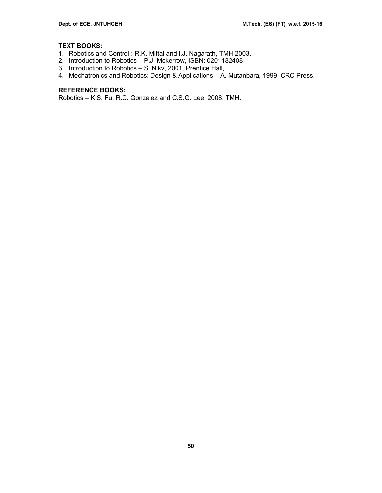# **TEXT BOOKS:**

- 1. Robotics and Control : R.K. Mittal and I.J. Nagarath, TMH 2003.
- 2. Introduction to Robotics P.J. Mckerrow, ISBN: 0201182408
- 3. Introduction to Robotics S. Nikv, 2001, Prentice Hall,
- 4. Mechatronics and Robotics: Design & Applications A. Mutanbara, 1999, CRC Press.

# **REFERENCE BOOKS:**

Robotics – K.S. Fu, R.C. Gonzalez and C.S.G. Lee, 2008, TMH.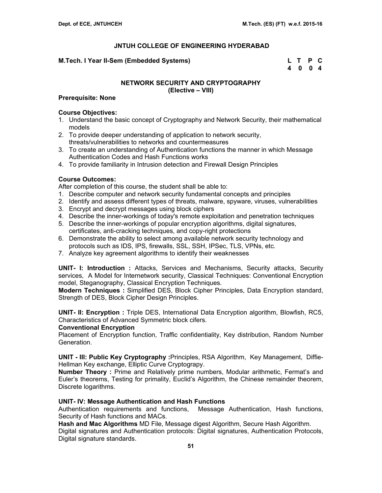### **M.Tech. I Year II-Sem (Embedded Systems)**

| M.Tech. I Year II-Sem (Embedded Systems) | L T P C |  |
|------------------------------------------|---------|--|
|                                          | 4 0 0 4 |  |

# **NETWORK SECURITY AND CRYPTOGRAPHY (Elective – VIII)**

### **Prerequisite: None**

### **Course Objectives:**

- 1. Understand the basic concept of Cryptography and Network Security, their mathematical models
- 2. To provide deeper understanding of application to network security, threats/vulnerabilities to networks and countermeasures
- 3. To create an understanding of Authentication functions the manner in which Message Authentication Codes and Hash Functions works
- 4. To provide familiarity in Intrusion detection and Firewall Design Principles

# **Course Outcomes:**

After completion of this course, the student shall be able to:

- 1. Describe computer and network security fundamental concepts and principles
- 2. Identify and assess different types of threats, malware, spyware, viruses, vulnerabilities
- 3. Encrypt and decrypt messages using block ciphers
- 4. Describe the inner-workings of today's remote exploitation and penetration techniques
- 5. Describe the inner-workings of popular encryption algorithms, digital signatures, certificates, anti-cracking techniques, and copy-right protections
- 6. Demonstrate the ability to select among available network security technology and protocols such as IDS, IPS, firewalls, SSL, SSH, IPSec, TLS, VPNs, etc.
- 7. Analyze key agreement algorithms to identify their weaknesses

**UNIT- I: Introduction :** Attacks, Services and Mechanisms, Security attacks, Security services, A Model for Internetwork security, Classical Techniques: Conventional Encryption model, Steganography, Classical Encryption Techniques.

**Modern Techniques :** Simplified DES, Block Cipher Principles, Data Encryption standard, Strength of DES, Block Cipher Design Principles.

**UNIT- II: Encryption :** Triple DES, International Data Encryption algorithm, Blowfish, RC5, Characteristics of Advanced Symmetric block cifers.

### **Conventional Encryption**

Placement of Encryption function, Traffic confidentiality, Key distribution, Random Number Generation.

**UNIT - III: Public Key Cryptography :**Principles, RSA Algorithm, Key Management, Diffie-Hellman Key exchange, Elliptic Curve Cryptograpy.

**Number Theory :** Prime and Relatively prime numbers, Modular arithmetic, Fermat's and Euler's theorems, Testing for primality, Euclid's Algorithm, the Chinese remainder theorem, Discrete logarithms.

### **UNIT- IV: Message Authentication and Hash Functions**

Authentication requirements and functions, Message Authentication, Hash functions, Security of Hash functions and MACs.

**Hash and Mac Algorithms** MD File, Message digest Algorithm, Secure Hash Algorithm. Digital signatures and Authentication protocols: Digital signatures, Authentication Protocols, Digital signature standards.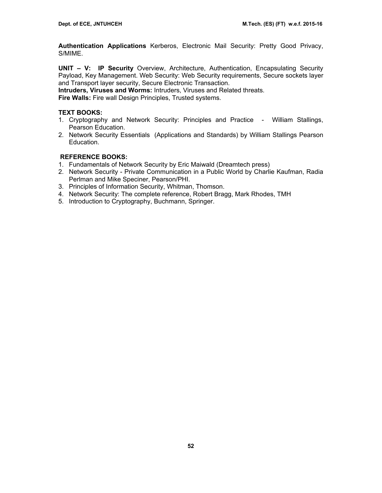**Authentication Applications** Kerberos, Electronic Mail Security: Pretty Good Privacy, S/MIME.

**UNIT – V: IP Security** Overview, Architecture, Authentication, Encapsulating Security Payload, Key Management. Web Security: Web Security requirements, Secure sockets layer and Transport layer security, Secure Electronic Transaction.

**Intruders, Viruses and Worms:** Intruders, Viruses and Related threats.

**Fire Walls:** Fire wall Design Principles, Trusted systems.

# **TEXT BOOKS:**

- 1. Cryptography and Network Security: Principles and Practice William Stallings, Pearson Education.
- 2. Network Security Essentials (Applications and Standards) by William Stallings Pearson Education.

- 1. Fundamentals of Network Security by Eric Maiwald (Dreamtech press)
- 2. Network Security Private Communication in a Public World by Charlie Kaufman, Radia Perlman and Mike Speciner, Pearson/PHI.
- 3. Principles of Information Security, Whitman, Thomson.
- 4. Network Security: The complete reference, Robert Bragg, Mark Rhodes, TMH
- 5. Introduction to Cryptography, Buchmann, Springer.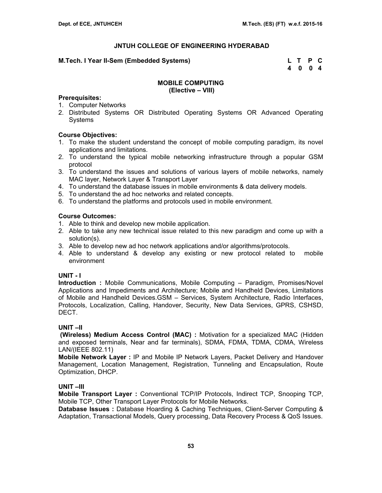### **M.Tech. I Year II-Sem (Embedded Systems)**

| M.Tech. I Year II-Sem (Embedded Systems) | L T P C |  |
|------------------------------------------|---------|--|
|                                          | 4004    |  |

#### **MOBILE COMPUTING (Elective – VIII)**

### **Prerequisites:**

- 1. Computer Networks
- 2. Distributed Systems OR Distributed Operating Systems OR Advanced Operating Systems

### **Course Objectives:**

- 1. To make the student understand the concept of mobile computing paradigm, its novel applications and limitations.
- 2. To understand the typical mobile networking infrastructure through a popular GSM protocol
- 3. To understand the issues and solutions of various layers of mobile networks, namely MAC layer, Network Layer & Transport Layer
- 4. To understand the database issues in mobile environments & data delivery models.
- 5. To understand the ad hoc networks and related concepts.
- 6. To understand the platforms and protocols used in mobile environment.

# **Course Outcomes:**

- 1. Able to think and develop new mobile application.
- 2. Able to take any new technical issue related to this new paradigm and come up with a solution(s).
- 3. Able to develop new ad hoc network applications and/or algorithms/protocols.
- 4. Able to understand & develop any existing or new protocol related to mobile environment

### **UNIT - I**

**Introduction :** Mobile Communications, Mobile Computing – Paradigm, Promises/Novel Applications and Impediments and Architecture; Mobile and Handheld Devices, Limitations of Mobile and Handheld Devices.GSM – Services, System Architecture, Radio Interfaces, Protocols, Localization, Calling, Handover, Security, New Data Services, GPRS, CSHSD, DECT.

### **UNIT –II**

 **(Wireless) Medium Access Control (MAC) :** Motivation for a specialized MAC (Hidden and exposed terminals, Near and far terminals), SDMA, FDMA, TDMA, CDMA, Wireless LAN/(IEEE 802.11)

**Mobile Network Layer :** IP and Mobile IP Network Layers, Packet Delivery and Handover Management, Location Management, Registration, Tunneling and Encapsulation, Route Optimization, DHCP.

### **UNIT –III**

**Mobile Transport Layer :** Conventional TCP/IP Protocols, Indirect TCP, Snooping TCP, Mobile TCP, Other Transport Layer Protocols for Mobile Networks.

**Database Issues :** Database Hoarding & Caching Techniques, Client-Server Computing & Adaptation, Transactional Models, Query processing, Data Recovery Process & QoS Issues.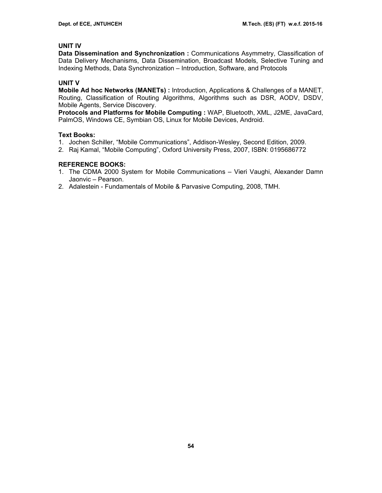# **UNIT IV**

**Data Dissemination and Synchronization :** Communications Asymmetry, Classification of Data Delivery Mechanisms, Data Dissemination, Broadcast Models, Selective Tuning and Indexing Methods, Data Synchronization – Introduction, Software, and Protocols

# **UNIT V**

**Mobile Ad hoc Networks (MANETs) :** Introduction, Applications & Challenges of a MANET, Routing, Classification of Routing Algorithms, Algorithms such as DSR, AODV, DSDV, Mobile Agents, Service Discovery.

**Protocols and Platforms for Mobile Computing :** WAP, Bluetooth, XML, J2ME, JavaCard, PalmOS, Windows CE, Symbian OS, Linux for Mobile Devices, Android.

### **Text Books:**

- 1. Jochen Schiller, "Mobile Communications", Addison-Wesley, Second Edition, 2009.
- 2. Raj Kamal, "Mobile Computing", Oxford University Press, 2007, ISBN: 0195686772

- 1. The CDMA 2000 System for Mobile Communications Vieri Vaughi, Alexander Damn Jaonvic – Pearson.
- 2. Adalestein Fundamentals of Mobile & Parvasive Computing, 2008, TMH.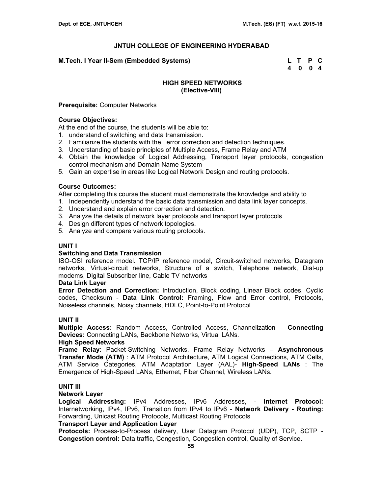### **M.Tech. I Year II-Sem (Embedded Systems) L T P C**

 **4 0 0 4** 

### **HIGH SPEED NETWORKS (Elective-VIII)**

### **Prerequisite:** Computer Networks

### **Course Objectives:**

At the end of the course, the students will be able to:

- 1. understand of switching and data transmission.
- 2. Familiarize the students with the error correction and detection techniques.
- 3. Understanding of basic principles of Multiple Access, Frame Relay and ATM
- 4. Obtain the knowledge of Logical Addressing, Transport layer protocols, congestion control mechanism and Domain Name System
- 5. Gain an expertise in areas like Logical Network Design and routing protocols.

### **Course Outcomes:**

After completing this course the student must demonstrate the knowledge and ability to

- 1. Independently understand the basic data transmission and data link layer concepts.
- 2. Understand and explain error correction and detection.
- 3. Analyze the details of network layer protocols and transport layer protocols
- 4. Design different types of network topologies.
- 5. Analyze and compare various routing protocols.

# **UNIT I**

### **Switching and Data Transmission**

ISO-OSI reference model. TCP/IP reference model, Circuit-switched networks, Datagram networks, Virtual-circuit networks, Structure of a switch, Telephone network, Dial-up modems, Digital Subscriber line, Cable TV networks

#### **Data Link Layer**

**Error Detection and Correction:** Introduction, Block coding, Linear Block codes, Cyclic codes, Checksum - **Data Link Control:** Framing, Flow and Error control, Protocols, Noiseless channels, Noisy channels, HDLC, Point-to-Point Protocol

# **UNIT II**

**Multiple Access:** Random Access, Controlled Access, Channelization – **Connecting Devices:** Connecting LANs, Backbone Networks, Virtual LANs.

### **High Speed Networks**

**Frame Relay**: Packet-Switching Networks, Frame Relay Networks – **Asynchronous Transfer Mode (ATM)** : ATM Protocol Architecture, ATM Logical Connections, ATM Cells, ATM Service Categories, ATM Adaptation Layer (AAL)- **High-Speed LANs** : The Emergence of High-Speed LANs, Ethernet, Fiber Channel, Wireless LANs.

# **UNIT III**

### **Network Layer**

**Logical Addressing:** IPv4 Addresses, IPv6 Addresses, - **Internet Protocol:**  Internetworking, IPv4, IPv6, Transition from IPv4 to IPv6 - **Network Delivery - Routing:**  Forwarding, Unicast Routing Protocols, Multicast Routing Protocols

### **Transport Layer and Application Layer**

**Protocols:** Process-to-Process delivery, User Datagram Protocol (UDP), TCP, SCTP - **Congestion control:** Data traffic, Congestion, Congestion control, Quality of Service.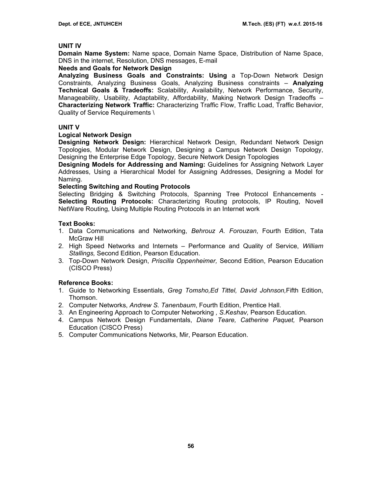### **UNIT IV**

**Domain Name System:** Name space, Domain Name Space, Distribution of Name Space, DNS in the internet, Resolution, DNS messages, E-mail

# **Needs and Goals for Network Design**

**Analyzing Business Goals and Constraints: Using** a Top-Down Network Design Constraints, Analyzing Business Goals, Analyzing Business constraints – **Analyzing Technical Goals & Tradeoffs:** Scalability, Availability, Network Performance, Security, Manageability, Usability, Adaptability, Affordability, Making Network Design Tradeoffs – **Characterizing Network Traffic:** Characterizing Traffic Flow, Traffic Load, Traffic Behavior, Quality of Service Requirements \

### **UNIT V**

# **Logical Network Design**

**Designing Network Design:** Hierarchical Network Design, Redundant Network Design Topologies, Modular Network Design, Designing a Campus Network Design Topology, Designing the Enterprise Edge Topology, Secure Network Design Topologies

**Designing Models for Addressing and Naming:** Guidelines for Assigning Network Layer Addresses, Using a Hierarchical Model for Assigning Addresses, Designing a Model for Naming.

### **Selecting Switching and Routing Protocols**

Selecting Bridging & Switching Protocols, Spanning Tree Protocol Enhancements - **Selecting Routing Protocols:** Characterizing Routing protocols, IP Routing, Novell NetWare Routing, Using Multiple Routing Protocols in an Internet work

# **Text Books:**

- 1. Data Communications and Networking, *Behrouz A. Forouzan*, Fourth Edition, Tata McGraw Hill
- 2. High Speed Networks and Internets Performance and Quality of Service, *William Stallings,* Second Edition, Pearson Education.
- 3. Top-Down Network Design, *Priscilla Oppenheimer,* Second Edition, Pearson Education (CISCO Press)

# **Reference Books:**

- 1. Guide to Networking Essentials, *Greg Tomsho,Ed Tittel, David Johnson,*Fifth Edition, Thomson.
- 2. Computer Networks, *Andrew S. Tanenbaum*, Fourth Edition, Prentice Hall.
- 3. An Engineering Approach to Computer Networking *, S.Keshav,* Pearson Education.
- 4. Campus Network Design Fundamentals, *Diane Teare, Catherine Paquet,* Pearson Education (CISCO Press)
- 5. Computer Communications Networks, Mir, Pearson Education.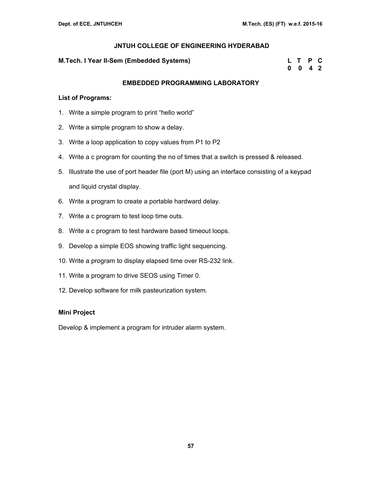### **M.Tech. I Year II-Sem (Embedded Systems)**

| M.Tech. I Year II-Sem (Embedded Systems) | L T P C            |  |
|------------------------------------------|--------------------|--|
|                                          | $0 \t 0 \t 4 \t 2$ |  |

### **EMBEDDED PROGRAMMING LABORATORY**

### **List of Programs:**

- 1. Write a simple program to print "hello world"
- 2. Write a simple program to show a delay.
- 3. Write a loop application to copy values from P1 to P2
- 4. Write a c program for counting the no of times that a switch is pressed & released.
- 5. Illustrate the use of port header file (port M) using an interface consisting of a keypad and liquid crystal display.
- 6. Write a program to create a portable hardward delay.
- 7. Write a c program to test loop time outs.
- 8. Write a c program to test hardware based timeout loops.
- 9. Develop a simple EOS showing traffic light sequencing.
- 10. Write a program to display elapsed time over RS-232 link.
- 11. Write a program to drive SEOS using Timer 0.
- 12. Develop software for milk pasteurization system.

### **Mini Project**

Develop & implement a program for intruder alarm system.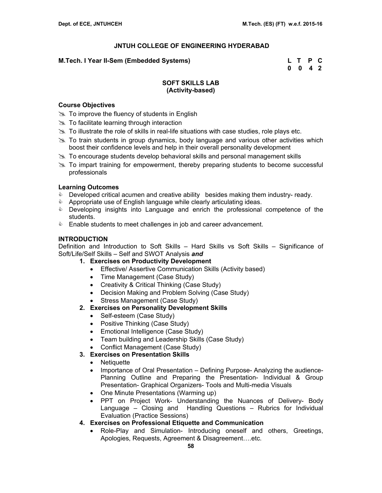### **M.Tech. I Year II-Sem (Embedded Systems) L T P C**

 **0 0 4 2** 

### **SOFT SKILLS LAB (Activity-based)**

### **Course Objectives**

- $\gg$  To improve the fluency of students in English
- $\gg$  To facilitate learning through interaction
- $\gg$  To illustrate the role of skills in real-life situations with case studies, role plays etc.
- $\geq$  To train students in group dynamics, body language and various other activities which boost their confidence levels and help in their overall personality development
- $\geq$  To encourage students develop behavioral skills and personal management skills
- $\gg$  To impart training for empowerment, thereby preparing students to become successful professionals

#### **Learning Outcomes**

- **Developed critical acumen and creative ability besides making them industry- ready.**
- & Appropriate use of English language while clearly articulating ideas.
- **EXE** Developing insights into Language and enrich the professional competence of the students.
- **Enable students to meet challenges in job and career advancement.**

### **INTRODUCTION**

Definition and Introduction to Soft Skills – Hard Skills vs Soft Skills – Significance of Soft/Life/Self Skills – Self and SWOT Analysis *and*

- **1. Exercises on Productivity Development** 
	- Effective/ Assertive Communication Skills (Activity based)
	- Time Management (Case Study)
	- Creativity & Critical Thinking (Case Study)
	- Decision Making and Problem Solving (Case Study)
	- Stress Management (Case Study)

### **2. Exercises on Personality Development Skills**

- Self-esteem (Case Study)
- Positive Thinking (Case Study)
- Emotional Intelligence (Case Study)
- Team building and Leadership Skills (Case Study)
- Conflict Management (Case Study)
- **3. Exercises on Presentation Skills** 
	- Netiquette
	- Importance of Oral Presentation Defining Purpose- Analyzing the audience-Planning Outline and Preparing the Presentation- Individual & Group Presentation- Graphical Organizers- Tools and Multi-media Visuals
	- One Minute Presentations (Warming up)
	- PPT on Project Work- Understanding the Nuances of Delivery- Body Language – Closing and Handling Questions – Rubrics for Individual Evaluation (Practice Sessions)
- **4. Exercises on Professional Etiquette and Communication** 
	- Role-Play and Simulation- Introducing oneself and others, Greetings, Apologies, Requests, Agreement & Disagreement….etc.